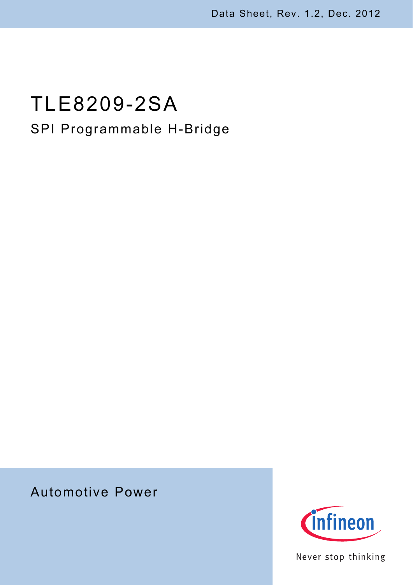# TLE8209-2SA SPI Programmable H-Bridge

## Automotive Power



Never stop thinking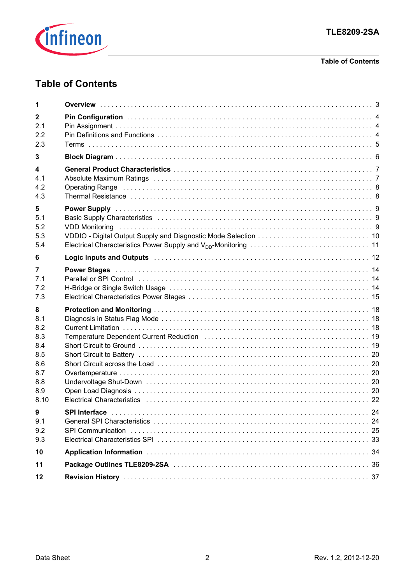

#### **Table of Contents**

### **Table of Contents**

| 1                                                                        |                                                                                                                                                                                                                                                                                                                                                                                                                                                                         |  |
|--------------------------------------------------------------------------|-------------------------------------------------------------------------------------------------------------------------------------------------------------------------------------------------------------------------------------------------------------------------------------------------------------------------------------------------------------------------------------------------------------------------------------------------------------------------|--|
| $\mathbf{2}$<br>2.1<br>2.2<br>2.3                                        |                                                                                                                                                                                                                                                                                                                                                                                                                                                                         |  |
| 3                                                                        |                                                                                                                                                                                                                                                                                                                                                                                                                                                                         |  |
| 4<br>4.1<br>4.2<br>4.3                                                   | Absolute Maximum Ratings (and account account of the contract of the contract of the contract of the contract o<br>Operating Range (and according to the contract of the contract of the contract of the contract of the contract $8$<br>Thermal Resistance in the contract of the contract of the contract of the contract of the contract of the contract of the contract of the contract of the contract of the contract of the contract of the contract of the cont |  |
| 5<br>5.1<br>5.2<br>5.3<br>5.4                                            |                                                                                                                                                                                                                                                                                                                                                                                                                                                                         |  |
| 6                                                                        | Logic Inputs and Outputs (Aller Manuscher Aller Manuscher Aller Aller Manuscher Aller Aller Aller Aller Aller                                                                                                                                                                                                                                                                                                                                                           |  |
| 7<br>7.1<br>7.2<br>7.3                                                   | Power Stages (and the contract of the contract of the contract of the contract of the contract of the contract of the contract of the contract of the contract of the contract of the contract of the contract of the contract                                                                                                                                                                                                                                          |  |
| 8<br>8.1<br>8.2<br>8.3<br>8.4<br>8.5<br>8.6<br>8.7<br>8.8<br>8.9<br>8.10 | Temperature Dependent Current Reduction (and accommodational contract of the 19                                                                                                                                                                                                                                                                                                                                                                                         |  |
| 9<br>9.1<br>9.2<br>9.3                                                   |                                                                                                                                                                                                                                                                                                                                                                                                                                                                         |  |
| 10                                                                       |                                                                                                                                                                                                                                                                                                                                                                                                                                                                         |  |
| 11                                                                       |                                                                                                                                                                                                                                                                                                                                                                                                                                                                         |  |
| 12                                                                       |                                                                                                                                                                                                                                                                                                                                                                                                                                                                         |  |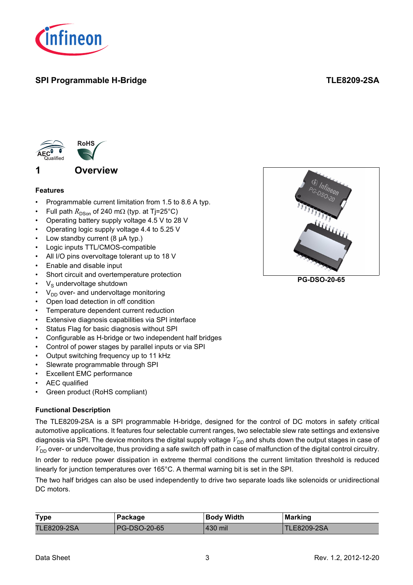

### **SPI Programmable H-Bridge TLE8209-2SA**



#### <span id="page-2-0"></span>**Features**

- Programmable current limitation from 1.5 to 8.6 A typ.
- Full path  $R_{DSon}$  of 240 mΩ (typ. at Tj=25°C)
- Operating battery supply voltage 4.5 V to 28 V
- Operating logic supply voltage 4.4 to 5.25 V
- Low standby current (8 µA typ.)
- Logic inputs TTL/CMOS-compatible
- All I/O pins overvoltage tolerant up to 18 V
- Enable and disable input
- Short circuit and overtemperature protection
- $V<sub>s</sub>$  undervoltage shutdown
- $V_{DD}$  over- and undervoltage monitoring
- Open load detection in off condition
- Temperature dependent current reduction
- Extensive diagnosis capabilities via SPI interface
- Status Flag for basic diagnosis without SPI
- Configurable as H-bridge or two independent half bridges
- Control of power stages by parallel inputs or via SPI
- Output switching frequency up to 11 kHz
- Slewrate programmable through SPI
- **Excellent EMC performance**
- AEC qualified
- Green product (RoHS compliant)

#### **Functional Description**

The TLE8209-2SA is a SPI programmable H-bridge, designed for the control of DC motors in safety critical automotive applications. It features four selectable current ranges, two selectable slew rate settings and extensive diagnosis via SPI. The device monitors the digital supply voltage  $V_{DD}$  and shuts down the output stages in case of  $V_{DD}$  over- or undervoltage, thus providing a safe switch off path in case of malfunction of the digital control circuitry.

In order to reduce power dissipation in extreme thermal conditions the current limitation threshold is reduced linearly for junction temperatures over 165°C. A thermal warning bit is set in the SPI.

The two half bridges can also be used independently to drive two separate loads like solenoids or unidirectional DC motors.

| <b>Type</b>        | Package      | <b>Body Width</b> | <b>Marking</b>     |
|--------------------|--------------|-------------------|--------------------|
| <b>TLE8209-2SA</b> | PG-DSO-20-65 | .430 mil          | <b>TLE8209-2SA</b> |



**PG-DSO-20-65**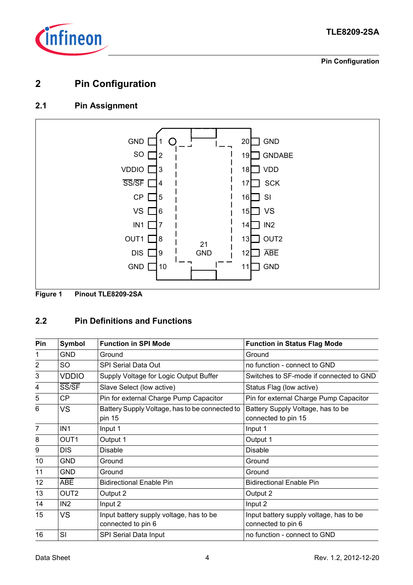

**Pin Configuration**

### <span id="page-3-0"></span>**2 Pin Configuration**

### <span id="page-3-1"></span>**2.1 Pin Assignment**



**Figure 1 Pinout TLE8209-2SA**

### <span id="page-3-2"></span>**2.2 Pin Definitions and Functions**

| Pin                     | Symbol           | <b>Function in SPI Mode</b>                                   | <b>Function in Status Flag Mode</b>                           |
|-------------------------|------------------|---------------------------------------------------------------|---------------------------------------------------------------|
| 1                       | <b>GND</b>       | Ground                                                        | Ground                                                        |
| $\overline{2}$          | <b>SO</b>        | <b>SPI Serial Data Out</b>                                    | no function - connect to GND                                  |
| 3                       | <b>VDDIO</b>     | Supply Voltage for Logic Output Buffer                        | Switches to SF-mode if connected to GND                       |
| $\overline{\mathbf{4}}$ | SS/SF            | Slave Select (low active)                                     | Status Flag (low active)                                      |
| 5                       | <b>CP</b>        | Pin for external Charge Pump Capacitor                        | Pin for external Charge Pump Capacitor                        |
| $6\phantom{1}6$         | <b>VS</b>        | Battery Supply Voltage, has to be connected to<br>pin 15      | Battery Supply Voltage, has to be<br>connected to pin 15      |
| $\overline{7}$          | IN <sub>1</sub>  | Input 1                                                       | Input 1                                                       |
| 8                       | OUT <sub>1</sub> | Output 1                                                      | Output 1                                                      |
| 9                       | <b>DIS</b>       | <b>Disable</b>                                                | <b>Disable</b>                                                |
| 10                      | <b>GND</b>       | Ground                                                        | Ground                                                        |
| 11                      | <b>GND</b>       | Ground                                                        | Ground                                                        |
| 12                      | <b>ABE</b>       | <b>Bidirectional Enable Pin</b>                               | <b>Bidirectional Enable Pin</b>                               |
| 13                      | OUT <sub>2</sub> | Output 2                                                      | Output 2                                                      |
| 14                      | IN <sub>2</sub>  | Input 2                                                       | Input 2                                                       |
| 15                      | <b>VS</b>        | Input battery supply voltage, has to be<br>connected to pin 6 | Input battery supply voltage, has to be<br>connected to pin 6 |
| 16                      | SI               | SPI Serial Data Input                                         | no function - connect to GND                                  |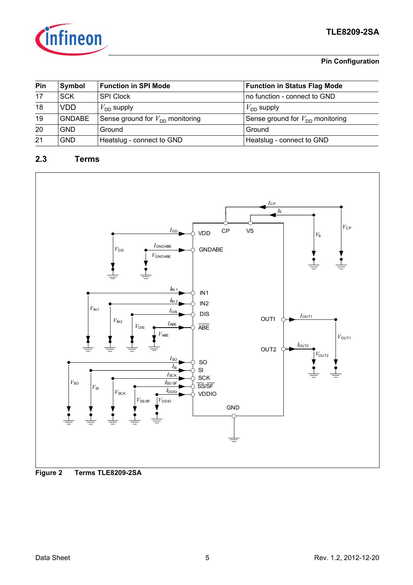

#### **Pin Configuration**

| Pin | Symbol        | <b>Function in SPI Mode</b>          | <b>Function in Status Flag Mode</b>  |
|-----|---------------|--------------------------------------|--------------------------------------|
| 17  | <b>SCK</b>    | <b>SPI Clock</b>                     | no function - connect to GND         |
| 18  | <b>VDD</b>    | $V_{\sf DD}$ supply                  | $V_{\text{DD}}$ supply               |
| 19  | <b>GNDABE</b> | Sense ground for $V_{DD}$ monitoring | Sense ground for $V_{DD}$ monitoring |
| 20  | <b>GND</b>    | Ground                               | Ground                               |
| 21  | <b>GND</b>    | Heatslug - connect to GND            | Heatslug - connect to GND            |

### <span id="page-4-0"></span>**2.3 Terms**



**Figure 2 Terms TLE8209-2SA**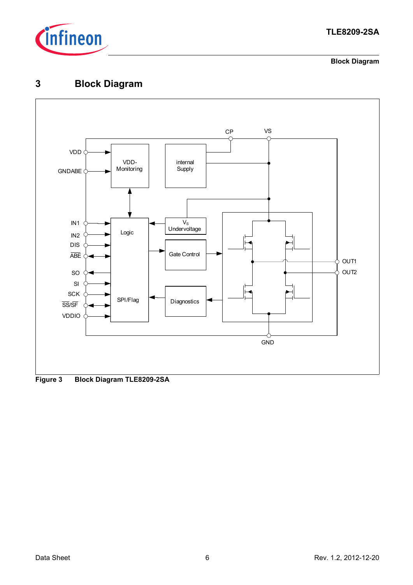

**Block Diagram**

### <span id="page-5-0"></span>**3 Block Diagram**



**Figure 3 Block Diagram TLE8209-2SA**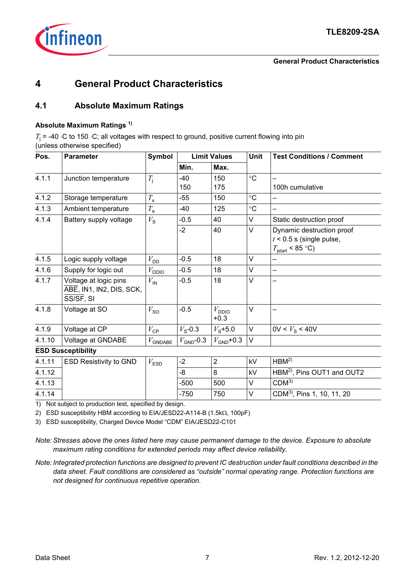

#### **General Product Characteristics**

### <span id="page-6-0"></span>**4 General Product Characteristics**

### <span id="page-6-1"></span>**4.1 Absolute Maximum Ratings**

#### **Absolute Maximum Ratings 1)**

 $T_{\rm j}$  = -40 ⋅C to 150 ⋅C; all voltages with respect to ground, positive current flowing into pin (unless otherwise specified)

| Pos.   | <b>Parameter</b>                                               | <b>Symbol</b>         | <b>Limit Values</b> |                             | <b>Unit</b>       | <b>Test Conditions / Comment</b> |  |  |  |
|--------|----------------------------------------------------------------|-----------------------|---------------------|-----------------------------|-------------------|----------------------------------|--|--|--|
|        |                                                                |                       | Min.                | Max.                        |                   |                                  |  |  |  |
| 4.1.1  | Junction temperature                                           | $T_{\rm i}$           | -40                 | 150                         | $\circ$ C         |                                  |  |  |  |
|        |                                                                |                       | 150                 | 175                         |                   | 100h cumulative                  |  |  |  |
| 4.1.2  | Storage temperature                                            | $T_{\rm s}$           | $-55$               | 150                         | $^\circ \text{C}$ |                                  |  |  |  |
| 4.1.3  | Ambient temperature                                            | $T_{\rm a}$           | -40                 | 125                         | $\circ$ C         |                                  |  |  |  |
| 4.1.4  | Battery supply voltage                                         | $V_{\rm S}$           | $-0.5$              | 40                          | V                 | Static destruction proof         |  |  |  |
|        |                                                                |                       | $-2$                | 40                          | V                 | Dynamic destruction proof        |  |  |  |
|        |                                                                |                       |                     |                             |                   | $t$ < 0.5 s (single pulse,       |  |  |  |
|        |                                                                |                       |                     |                             |                   | $T_{\text{start}}$ < 85 °C)      |  |  |  |
| 4.1.5  | Logic supply voltage                                           | $V_{\text{DD}}$       | $-0.5$              | 18                          | V                 |                                  |  |  |  |
| 4.1.6  | Supply for logic out                                           | $V_{\text{DDIO}}$     | $-0.5$              | 18                          | V                 |                                  |  |  |  |
| 4.1.7  | Voltage at logic pins<br>ABE, IN1, IN2, DIS, SCK,<br>SS/SF, SI | $V_{\mathsf{IN}}$     | $-0.5$              | 18                          | V                 |                                  |  |  |  |
| 4.1.8  | Voltage at SO                                                  | $V_{\text{SO}}$       | $-0.5$              | $V_{\text{DDIO}}$<br>$+0.3$ | V                 |                                  |  |  |  |
| 4.1.9  | Voltage at CP                                                  | $V_{\text{CP}}$       | $V_{\rm s}$ -0.3    | $V_{\rm s}$ +5.0            | V                 | $0V < V_{\rm s}$ < 40V           |  |  |  |
| 4.1.10 | Voltage at GNDABE                                              | $V_{\mathsf{GNDABE}}$ | $V_{GND}$ -0.3      | $V_{GND}$ +0.3              | V                 |                                  |  |  |  |

#### **ESD Susceptibility**

| 4.1.11 | <b>ESD Resistivity to GND</b> | ESD | $\sim$<br>-Z |     | kV | HBM <sup>2</sup>                       |
|--------|-------------------------------|-----|--------------|-----|----|----------------------------------------|
| 4.1.12 |                               |     | -8           |     | kV | HBM <sup>2)</sup> , Pins OUT1 and OUT2 |
| 4.1.13 |                               |     | $-500$       | 500 |    | CDM <sup>3</sup>                       |
| 4.1.14 |                               |     | $-750$       | 750 |    | $ CDM^{3}$ , Pins 1, 10, 11, 20        |

1) Not subject to production test, specified by design.

2) ESD susceptibility HBM according to EIA/JESD22-A114-B (1.5kΩ, 100pF)

3) ESD susceptibility, Charged Device Model "CDM" EIA/JESD22-C101

*Note: Stresses above the ones listed here may cause permanent damage to the device. Exposure to absolute maximum rating conditions for extended periods may affect device reliability.*

*Note: Integrated protection functions are designed to prevent IC destruction under fault conditions described in the data sheet. Fault conditions are considered as "outside" normal operating range. Protection functions are not designed for continuous repetitive operation.*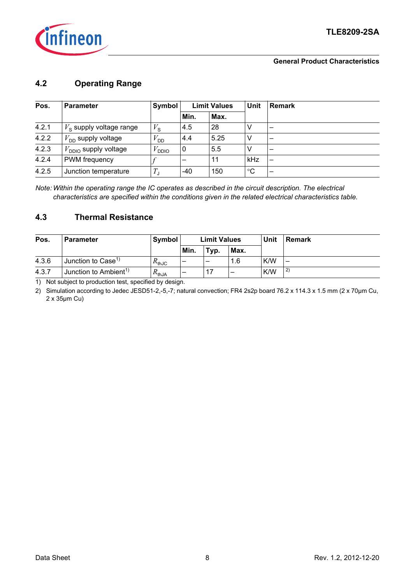

#### **General Product Characteristics**

### <span id="page-7-0"></span>**4.2 Operating Range**

| Pos.  | <b>Parameter</b>                 |                   | <b>Limit Values</b><br>Symbol |      | <b>Unit</b> | <b>Remark</b> |  |
|-------|----------------------------------|-------------------|-------------------------------|------|-------------|---------------|--|
|       |                                  |                   | Min.                          | Max. |             |               |  |
| 4.2.1 | $V_{\rm s}$ supply voltage range | $V_{\rm S}$       | 4.5                           | 28   | V           |               |  |
| 4.2.2 | $V_{\text{DD}}$ supply voltage   | $V_{\mathsf{DD}}$ | 4.4                           | 5.25 | ٧           |               |  |
| 4.2.3 | $V_{\sf DDO}$ supply voltage.    | <b>DDIO</b>       | 0                             | 5.5  | V           |               |  |
| 4.2.4 | <b>PWM</b> frequency             |                   |                               | 11   | kHz         |               |  |
| 4.2.5 | Junction temperature             | $T_\mathsf{J}$    | -40                           | 150  | $^{\circ}C$ |               |  |

*Note: Within the operating range the IC operates as described in the circuit description. The electrical characteristics are specified within the conditions given in the related electrical characteristics table.*

### <span id="page-7-1"></span>**4.3 Thermal Resistance**

| Pos.  | <b>Parameter</b>                  | Symbol              | <b>Limit Values</b> |      |      |     |              |  | Unit |  | <b>Remark</b> |
|-------|-----------------------------------|---------------------|---------------------|------|------|-----|--------------|--|------|--|---------------|
|       |                                   |                     | Min.                | Typ. | Max. |     |              |  |      |  |               |
| 4.3.6 | Junction to Case <sup>1)</sup>    | $R_{thJC}$          |                     |      | 1.6  | K/W | -            |  |      |  |               |
| 4.3.7 | Junction to Ambient <sup>1)</sup> | $R_{\mathsf{thJA}}$ | -                   |      | -    | K/W | $\mathbf{2}$ |  |      |  |               |

<span id="page-7-2"></span>1) Not subject to production test, specified by design.

2) Simulation according to Jedec JESD51-2,-5,-7; natural convection; FR4 2s2p board 76.2 x 114.3 x 1.5 mm (2 x 70µm Cu, 2 x 35µm Cu)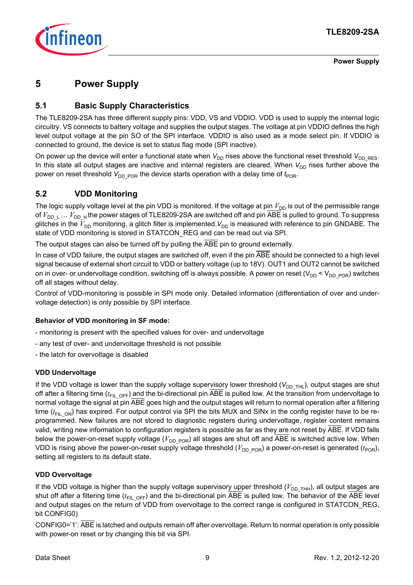

**Power Supply**

### <span id="page-8-0"></span>**5 Power Supply**

### <span id="page-8-1"></span>**5.1 Basic Supply Characteristics**

The TLE8209-2SA has three different supply pins: VDD, VS and VDDIO. VDD is used to supply the internal logic circuitry. VS connects to battery voltage and supplies the output stages. The voltage at pin VDDIO defines the high level output voltage at the pin SO of the SPI interface. VDDIO is also used as a mode select pin. If VDDIO is connected to ground, the device is set to status flag mode (SPI inactive).

On power up the device will enter a functional state when  $V_{DD}$  rises above the functional reset threshold  $V_{DD|RES}$ . In this state all output stages are inactive and internal registers are cleared. When  $V_{DD}$  rises further above the power on reset threshold  $V_{\text{DD-POR}}$  the device starts operation with a delay time of  $t_{\text{POR}}$ .

### <span id="page-8-3"></span><span id="page-8-2"></span>**5.2 VDD Monitoring**

The logic supply voltage level at the pin VDD is monitored. If the voltage at pin  $V_{DD}$  is out of the permissible range of  $V_{DD-L}$  ...  $V_{DD-H}$  the power stages of TLE8209-2SA are switched off and pin ABE is pulled to ground. To suppress glitches in the  $V_{DD}$  monitoring, a glitch filter is implemented.  $V_{DD}$  is measured with reference to pin GNDABE. The state of VDD monitoring is stored in STATCON\_REG and can be read out via SPI.

The output stages can also be turned off by pulling the ABE pin to ground externally.

In case of VDD failure, the output stages are switched off, even if the pin ABE should be connected to a high level signal because of external short circuit to VDD or battery voltage (up to 18V). OUT1 and OUT2 cannot be switched on in over- or undervoltage condition, switching off is always possible. A power on reset ( $V_{DD}$   $\lt V_{DD}$   $_{POR}$ ) switches off all stages without delay.

Control of VDD-monitoring is possible in SPI mode only. Detailed information (differentiation of over and undervoltage detection) is only possible by SPI interface.

#### **Behavior of VDD monitoring in SF mode:**

- monitoring is present with the specified values for over- and undervoltage
- any test of over- and undervoltage threshold is not possible
- the latch for overvoltage is disabled

#### **VDD Undervoltage**

If the VDD voltage is lower than the supply voltage supervisory lower threshold (V<sub>DD\_THL</sub>), output stages are shut off after a filtering time ( $t_{FIL\ OFF}$ ) and the bi-directional pin ABE is pulled low. At the transition from undervoltage to normal voltage the signal at pin ABE goes high and the output stages will return to normal operation after a filtering time ( $t_{FIL\ ON}$ ) has expired. For output control via SPI the bits MUX and SINx in the config register have to be reprogrammed. New failures are not stored to diagnostic registers during undervoltage, register content remains valid, writing new information to configuration registers is possible as far as they are not reset by ABE. If VDD falls below the power-on-reset supply voltage ( $V_{\text{DD-POR}}$ ) all stages are shut off and ABE is switched active low. When VDD is rising above the power-on-reset supply voltage threshold ( $V_{DD\_POR}$ ) a power-on-reset is generated ( $t_{POR}$ ), setting all registers to its default state.

#### **VDD Overvoltage**

If the VDD voltage is higher than the supply voltage supervisory upper threshold ( $V_{DD-THH}$ ), all output stages are shut off after a filtering time ( $t_{FIL OFF}$ ) and the bi-directional pin ABE is pulled low. The behavior of the ABE level and output stages on the return of VDD from overvoltage to the correct range is configured in STATCON\_REG, bit CONFIG0)

CONFIG0='1': ABE is latched and outputs remain off after overvoltage. Return to normal operation is only possible with power-on reset or by changing this bit via SPI.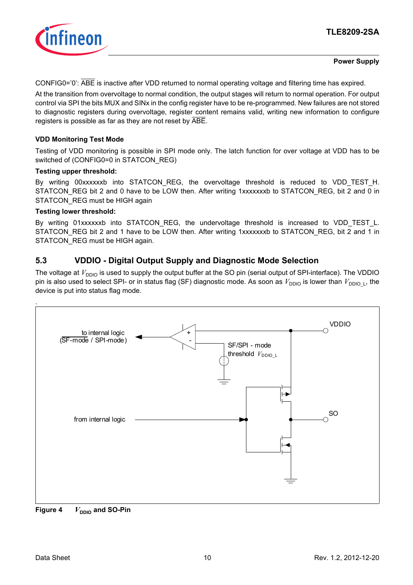

#### **Power Supply**

CONFIG0='0': ABE is inactive after VDD returned to normal operating voltage and filtering time has expired.

At the transition from overvoltage to normal condition, the output stages will return to normal operation. For output control via SPI the bits MUX and SINx in the config register have to be re-programmed. New failures are not stored to diagnostic registers during overvoltage, register content remains valid, writing new information to configure registers is possible as far as they are not reset by ABE.

#### **VDD Monitoring Test Mode**

Testing of VDD monitoring is possible in SPI mode only. The latch function for over voltage at VDD has to be switched of (CONFIG0=0 in STATCON\_REG)

#### **Testing upper threshold:**

By writing 00xxxxxxb into STATCON\_REG, the overvoltage threshold is reduced to VDD\_TEST\_H. STATCON\_REG bit 2 and 0 have to be LOW then. After writing 1xxxxxxxb to STATCON\_REG, bit 2 and 0 in STATCON REG must be HIGH again

#### **Testing lower threshold:**

.

By writing 01xxxxxxb into STATCON\_REG, the undervoltage threshold is increased to VDD\_TEST\_L. STATCON\_REG bit 2 and 1 have to be LOW then. After writing 1xxxxxxxb to STATCON\_REG, bit 2 and 1 in STATCON REG must be HIGH again.

### <span id="page-9-1"></span><span id="page-9-0"></span>**5.3 VDDIO - Digital Output Supply and Diagnostic Mode Selection**

The voltage at  $V_{DDIO}$  is used to supply the output buffer at the SO pin (serial output of SPI-interface). The VDDIO pin is also used to select SPI- or in status flag (SF) diagnostic mode. As soon as  $V_{DDIO}$  is lower than  $V_{DDIO}$ , the device is put into status flag mode.



**Figure 4**  $V_{\text{DDO}}$  and SO-Pin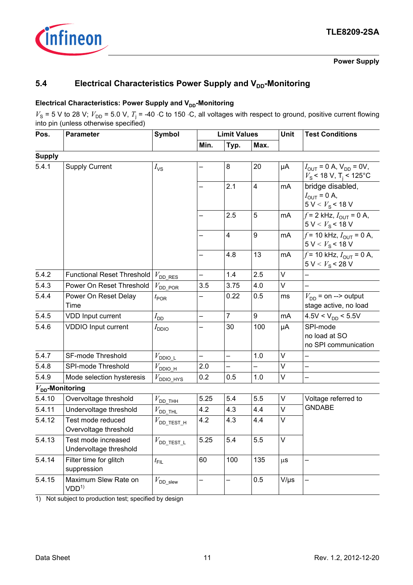

**Power Supply**

### <span id="page-10-0"></span>**5.4** Electrical Characteristics Power Supply and V<sub>DD</sub>-Monitoring

#### **Electrical Characteristics: Power Supply and V<sub>DD</sub>-Monitoring**

 $V_s$  = 5 V to 28 V;  $V_{\text{DD}}$  = 5.0 V,  $T_i$  = -40 ⋅C to 150 ⋅C, all voltages with respect to ground, positive current flowing into pin (unless otherwise specified)

| Pos.          | <b>Parameter</b>                              | <b>Symbol</b>            |                          | <b>Limit Values</b>      |                | Unit      | <b>Test Conditions</b>                                                                                     |  |
|---------------|-----------------------------------------------|--------------------------|--------------------------|--------------------------|----------------|-----------|------------------------------------------------------------------------------------------------------------|--|
|               |                                               |                          | Min.                     | Typ.                     | Max.           |           |                                                                                                            |  |
| <b>Supply</b> |                                               |                          |                          |                          |                |           |                                                                                                            |  |
| 5.4.1         | <b>Supply Current</b>                         | $I_{\mathsf{VS}}$        |                          | 8                        | 20             | μA        | $I_{\text{OUT}} = 0 \text{ A}, V_{\text{DD}} = 0 \text{ V},$<br>$V_{\rm S}$ < 18 V, T <sub>i</sub> < 125°C |  |
|               |                                               |                          |                          | 2.1                      | $\overline{4}$ | mA        | bridge disabled,<br>$I_{\text{OUT}} = 0$ A,<br>$5 V < Vs$ < 18 V                                           |  |
|               |                                               |                          |                          | 2.5                      | 5              | mA        | $f = 2$ kHz, $I_{\text{OUT}} = 0$ A,<br>$5 V < Vs$ < 18 V                                                  |  |
|               |                                               |                          |                          | 4                        | 9              | mA        | $f = 10$ kHz, $I_{\text{OUT}} = 0$ A,<br>$5 V < Vs$ < 18 V                                                 |  |
|               |                                               |                          | —                        | 4.8                      | 13             | mA        | $f = 10$ kHz, $I_{\text{OUT}} = 0$ A,<br>5 V < V <sub>S</sub> < 28 V                                       |  |
| 5.4.2         | <b>Functional Reset Threshold</b>             | $V_{\text{DD\_RES}}$     |                          | 1.4                      | 2.5            | $\vee$    |                                                                                                            |  |
| 5.4.3         | Power On Reset Threshold                      | $V_{\text{DD\_FOR}}$     | 3.5                      | 3.75                     | 4.0            | V         |                                                                                                            |  |
| 5.4.4         | Power On Reset Delay<br>Time                  | $t_{\text{POR}}$         |                          | 0.22                     | 0.5            | ms        | $V_{\text{DD}}$ = on --> output<br>stage active, no load                                                   |  |
| 5.4.5         | VDD Input current                             | $I_{\mathsf{DD}}$        |                          | $\overline{7}$           | 9              | mA        | $4.5V < V_{DD} < 5.5V$                                                                                     |  |
| 5.4.6         | VDDIO Input current                           | $I_{\text{DDIO}}$        |                          | 30                       | 100            | μA        | SPI-mode<br>no load at SO<br>no SPI communication                                                          |  |
| 5.4.7         | SF-mode Threshold                             | $V_{\text{DDIO\_L}}$     | $\overline{\phantom{0}}$ | $\overline{\phantom{0}}$ | 1.0            | V         | —                                                                                                          |  |
| 5.4.8         | SPI-mode Threshold                            | $V_{\text{DDIQ_H}}$      | 2.0                      |                          |                | V         |                                                                                                            |  |
| 5.4.9         | Mode selection hysteresis                     | $V_{\text{DDIO\_HYS}}$   | 0.2                      | 0.5                      | 1.0            | $\vee$    |                                                                                                            |  |
|               | $V_{DD}$ -Monitoring                          |                          |                          |                          |                |           |                                                                                                            |  |
| 5.4.10        | Overvoltage threshold                         | $V_{\text{DD\_THH}}$     | 5.25                     | 5.4                      | 5.5            | $\vee$    | Voltage referred to                                                                                        |  |
| 5.4.11        | Undervoltage threshold                        | $V_{\text{DD\_THL}}$     | 4.2                      | 4.3                      | 4.4            | $\vee$    | <b>GNDABE</b>                                                                                              |  |
| 5.4.12        | Test mode reduced<br>Overvoltage threshold    | $V_{\text{DD\_TEST\_H}}$ | 4.2                      | 4.3                      | 4.4            | V         |                                                                                                            |  |
| 5.4.13        | Test mode increased<br>Undervoltage threshold | $V_{\rm DD\_TEST\_L}$    | 5.25                     | 5.4                      | $5.5\,$        | V         |                                                                                                            |  |
| 5.4.14        | Filter time for glitch<br>suppression         | $t_{\text{FIL}}$         | 60                       | 100                      | 135            | $\mu$ S   | —                                                                                                          |  |
| 5.4.15        | Maximum Slew Rate on<br>VDD <sup>1</sup>      | $V_{\rm DD\_slew}$       |                          |                          | 0.5            | $V/\mu s$ |                                                                                                            |  |

1) Not subject to production test; specified by design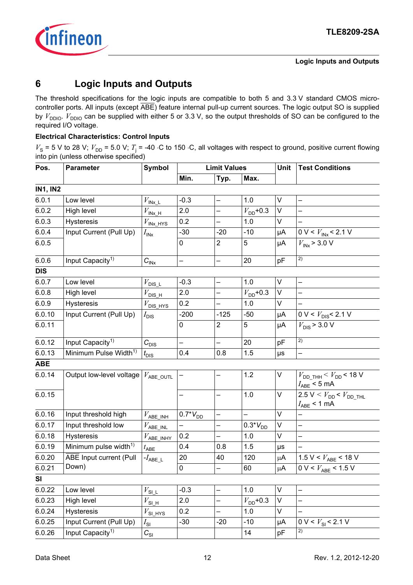

### <span id="page-11-0"></span>**6 Logic Inputs and Outputs**

The threshold specifications for the logic inputs are compatible to both 5 and 3.3 V standard CMOS microcontroller ports. All inputs (except ABE) feature internal pull-up current sources. The logic output SO is supplied by  $V_{\text{DDIO}}$ .  $V_{\text{DDIO}}$  can be supplied with either 5 or 3.3 V, so the output thresholds of SO can be configured to the required I/O voltage.

#### **Electrical Characteristics: Control Inputs**

 $V_s$  = 5 V to 28 V;  $V_{\text{DD}}$  = 5.0 V;  $T_i$  = -40 ⋅C to 150 ⋅C, all voltages with respect to ground, positive current flowing into pin (unless otherwise specified)

| Pos.            | <b>Parameter</b>                  | <b>Symbol</b>                                            |                          | <b>Limit Values</b>      |                      | Unit   | <b>Test Conditions</b>                                                   |  |
|-----------------|-----------------------------------|----------------------------------------------------------|--------------------------|--------------------------|----------------------|--------|--------------------------------------------------------------------------|--|
|                 |                                   |                                                          | Min.                     | Typ.                     | Max.                 |        |                                                                          |  |
| <b>IN1, IN2</b> |                                   |                                                          |                          |                          |                      |        |                                                                          |  |
| 6.0.1           | Low level                         | $V_{\mathsf{INx\_L}}$                                    | $-0.3$                   | $\overline{\phantom{0}}$ | 1.0                  | $\vee$ |                                                                          |  |
| 6.0.2           | High level                        | $V_{\mathsf{INx\_H}}$                                    | 2.0                      | $\qquad \qquad -$        | $V_{\text{DD}}$ +0.3 | V      |                                                                          |  |
| 6.0.3           | Hysteresis                        | $V_{\mathsf{INx\_HYS}}$                                  | 0.2                      |                          | 1.0                  | V      |                                                                          |  |
| 6.0.4           | Input Current (Pull Up)           | $I_{\text{INX}}$                                         | $-30$                    | $-20$                    | $-10$                | μA     | 0 V < $V_{\text{INx}}$ < 2.1 V                                           |  |
| 6.0.5           |                                   |                                                          | 0                        | $\overline{2}$           | 5                    | μA     | $V_{INX}$ > 3.0 V                                                        |  |
| 6.0.6           | Input Capacity <sup>1)</sup>      | $C_{\text{INX}}$                                         | $\overline{\phantom{0}}$ | $\overline{\phantom{0}}$ | 20                   | pF     | 2)                                                                       |  |
| <b>DIS</b>      |                                   |                                                          |                          |                          |                      |        |                                                                          |  |
| 6.0.7           | Low level                         | $V_{\rm DIS\_L}$                                         | $-0.3$                   | $\qquad \qquad -$        | 1.0                  | $\vee$ | —                                                                        |  |
| 6.0.8           | High level                        | $V_{\text{DIS\_H}}$                                      | 2.0                      |                          | $V_{DD}$ +0.3        | V      |                                                                          |  |
| 6.0.9           | Hysteresis                        | $V_{\text{DIS\_HYS}}$                                    | 0.2                      |                          | 1.0                  | V      |                                                                          |  |
| 6.0.10          | Input Current (Pull Up)           | $I_{\text{DIS}}$                                         | $-200$                   | $-125$                   | $-50$                | μA     | 0 V < $V_{\text{DIS}}$ < 2.1 V                                           |  |
| 6.0.11          |                                   |                                                          | 0                        | $\overline{2}$           | 5                    | μA     | $V_{\text{DIS}}$ > 3.0 V                                                 |  |
| 6.0.12          | Input Capacity <sup>1)</sup>      | $C_{\text{DIS}}$                                         |                          |                          | 20                   | pF     | $\overline{2)}$                                                          |  |
| 6.0.13          | Minimum Pulse Width <sup>1)</sup> | $t_{\text{DIS}}$                                         | 0.4                      | 0.8                      | 1.5                  | μs     | -                                                                        |  |
| <b>ABE</b>      |                                   |                                                          |                          |                          |                      |        |                                                                          |  |
| 6.0.14          | Output low-level voltage          | $V_{\sf ABE\_OUTL}$                                      |                          |                          | 1.2                  | $\vee$ | $V_{\text{DD\_THH}}$ < $V_{\text{DD}}$ < 18 V<br>$I_{\text{ABE}}$ < 5 mA |  |
| 6.0.15          |                                   |                                                          |                          | $\qquad \qquad -$        | 1.0                  | $\vee$ | $2.5 V < V_{DD} < V_{DD\_THL}$<br>$I_{\text{ABE}}$ < 1 mA                |  |
| 6.0.16          | Input threshold high              | $V_{\rm ABE\_INH}$                                       | $0.7*V_{DD}$             | $\overline{\phantom{0}}$ |                      | $\vee$ | $\overline{\phantom{0}}$                                                 |  |
| 6.0.17          | Input threshold low               | $V_{\sf ABE\_INL}$                                       |                          |                          | $0.3*V_{DD}$         | V      |                                                                          |  |
| 6.0.18          | <b>Hysteresis</b>                 | $V_{\rm ABE\_IMHY}$                                      | 0.2                      | $\qquad \qquad -$        | 1.0                  | V      |                                                                          |  |
| 6.0.19          | Minimum pulse width <sup>1)</sup> | $t_{\sf ABE}$                                            | 0.4                      | 0.8                      | 1.5                  | μs     |                                                                          |  |
| 6.0.20          | ABE Input current (Pull           | $-I_{\sf ABE\_L}$                                        | 20                       | 40                       | 120                  | μA     | 1.5 V < $V_{\text{ABE}}$ < 18 V                                          |  |
| 6.0.21          | Down)                             |                                                          | 0                        | -                        | 60                   | μA     | $0 V < V_{ABE}$ < 1.5 V                                                  |  |
| SI              |                                   |                                                          |                          |                          |                      |        |                                                                          |  |
| 6.0.22          | Low level                         | $V_{\text{SI}\_\text{L}}$                                | $-0.3$                   | $\overline{\phantom{0}}$ | 1.0                  | $\vee$ |                                                                          |  |
| 6.0.23          | High level                        | $V_{\mathrm{S}\underline{\sqcup}\underline{\mathsf{H}}}$ | 2.0                      |                          | $V_{\text{DD}}$ +0.3 | V      |                                                                          |  |
| 6.0.24          | Hysteresis                        | $V_{\text{SI}_{\perp} \text{HYS}}$                       | 0.2                      | $\qquad \qquad -$        | 1.0                  | V      |                                                                          |  |
| 6.0.25          | Input Current (Pull Up)           | $I_{\sf SI}$                                             | $-30$                    | $-20$                    | $-10$                | μA     | $0 V < V_{\rm SI}$ < 2.1 V                                               |  |
| 6.0.26          | Input Capacity <sup>1)</sup>      | $C_{\rm SI}$                                             |                          |                          | 14                   | pF     | 2)                                                                       |  |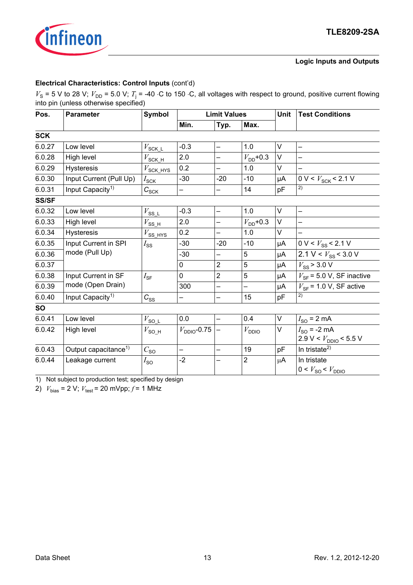

#### **Logic Inputs and Outputs**

#### **Electrical Characteristics: Control Inputs** (cont'd)

 $V_s$  = 5 V to 28 V;  $V_{\text{DD}}$  = 5.0 V;  $T_i$  = -40 ⋅C to 150 ⋅C, all voltages with respect to ground, positive current flowing into pin (unless otherwise specified)

| Pos.         | <b>Parameter</b>                 | <b>Symbol</b>                  |                         | <b>Limit Values</b>      |                          | Unit | <b>Test Conditions</b>                                         |  |
|--------------|----------------------------------|--------------------------------|-------------------------|--------------------------|--------------------------|------|----------------------------------------------------------------|--|
|              |                                  |                                | Min.                    | Typ.<br>Max.             |                          |      |                                                                |  |
| <b>SCK</b>   |                                  |                                |                         |                          |                          |      |                                                                |  |
| 6.0.27       | Low level                        | $V_{\text{SCK\_L}}$            | $-0.3$                  | $\equiv$                 | 1.0                      | V    | $\overline{\phantom{0}}$                                       |  |
| 6.0.28       | High level                       | $V_{\text{SCK\_H}}$            | 2.0                     |                          | $V_{\text{DD}}$ +0.3     | V    |                                                                |  |
| 6.0.29       | <b>Hysteresis</b>                | $V_{\text{SCK\_HYS}}$          | 0.2                     |                          | 1.0                      | V    |                                                                |  |
| 6.0.30       | Input Current (Pull Up)          | $I_{\text{SCK}}$               | $-30$                   | $-20$                    | $-10$                    | μA   | $0 V < V_{SCK}$ < 2.1 V                                        |  |
| 6.0.31       | Input Capacity <sup>1)</sup>     | $C_{SC\underline{K}}$          |                         |                          | 14                       | pF   | 2)                                                             |  |
| <b>SS/SF</b> |                                  |                                |                         |                          |                          |      |                                                                |  |
| 6.0.32       | Low level                        | $V_{\text{SS\_L}}$             | $-0.3$                  | —                        | 1.0                      | V    |                                                                |  |
| 6.0.33       | High level                       | $V_{\text{SS\_H}}$             | 2.0                     | —                        | $V_{\text{DD}}$ +0.3     | V    |                                                                |  |
| 6.0.34       | <b>Hysteresis</b>                | $V_{SS\underline{\text{HYS}}}$ | 0.2                     | —                        | 1.0                      | V    |                                                                |  |
| 6.0.35       | Input Current in SPI             | $I_{SS}$                       | $-30$                   | $-20$                    | $-10$                    | μA   | 0 V < $V_{SS}$ < 2.1 V                                         |  |
| 6.0.36       | mode (Pull Up)                   |                                | $-30$                   | -                        | 5                        | μA   | $\overline{2.1 V}$ < $V_{SS}$ < 3.0 V                          |  |
| 6.0.37       |                                  |                                | $\mathbf 0$             | $\overline{2}$           | 5                        | μA   | $V_{SS}$ > 3.0 V                                               |  |
| 6.0.38       | Input Current in SF              | $I_{\text{SF}}$                | $\mathbf 0$             | $\overline{2}$           | 5                        | μA   | $V_{SF}$ = 5.0 V, SF inactive                                  |  |
| 6.0.39       | mode (Open Drain)                |                                | 300                     | $\overline{\phantom{0}}$ | $\overline{\phantom{0}}$ | μA   | $V_{SF}$ = 1.0 V, SF active                                    |  |
| 6.0.40       | Input Capacity <sup>1)</sup>     | $C_{SS}$                       |                         | $\overline{\phantom{0}}$ | 15                       | pF   | 2)                                                             |  |
| <b>SO</b>    |                                  |                                |                         |                          |                          |      |                                                                |  |
| 6.0.41       | Low level                        | $V_{\mathrm{SOL}}$             | 0.0                     | $\overline{\phantom{m}}$ | 0.4                      | V    | $I_{\text{SO}}$ = 2 mA                                         |  |
| 6.0.42       | High level                       | $V_{\text{SO_H}}$              | $V_{\text{DDIO}}$ -0.75 |                          | $V_{\text{DDIO}}$        | V    | $I_{SO}$ = -2 mA                                               |  |
| 6.0.43       | Output capacitance <sup>1)</sup> |                                |                         | $\overline{\phantom{0}}$ | 19                       | pF   | 2.9 V < $V_{\text{DDIO}}$ < 5.5 V<br>In tristate <sup>2)</sup> |  |
| 6.0.44       | Leakage current                  | $C_{\underline{{\rm SO}}}$     | $-2$                    |                          | $\overline{2}$           | μA   | In tristate                                                    |  |
|              |                                  | $I_{\rm SO}$                   |                         |                          |                          |      | 0 < V <sub>SO</sub> < V <sub>DDIO</sub>                        |  |

<span id="page-12-0"></span>1) Not subject to production test; specified by design

<span id="page-12-1"></span>2)  $V_{bias} = 2 \text{ V}; V_{test} = 20 \text{ mVpp}; f = 1 \text{ MHz}$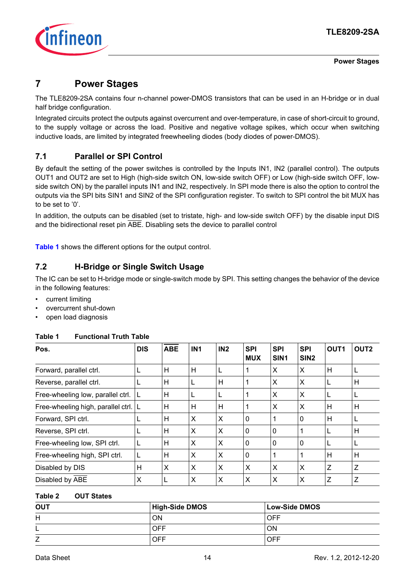

**Power Stages**

### <span id="page-13-0"></span>**7 Power Stages**

The TLE8209-2SA contains four n-channel power-DMOS transistors that can be used in an H-bridge or in dual half bridge configuration.

Integrated circuits protect the outputs against overcurrent and over-temperature, in case of short-circuit to ground, to the supply voltage or across the load. Positive and negative voltage spikes, which occur when switching inductive loads, are limited by integrated freewheeling diodes (body diodes of power-DMOS).

### <span id="page-13-1"></span>**7.1 Parallel or SPI Control**

By default the setting of the power switches is controlled by the Inputs IN1, IN2 (parallel control). The outputs OUT1 and OUT2 are set to High (high-side switch ON, low-side switch OFF) or Low (high-side switch OFF, lowside switch ON) by the parallel inputs IN1 and IN2, respectively. In SPI mode there is also the option to control the outputs via the SPI bits SIN1 and SIN2 of the SPI configuration register. To switch to SPI control the bit MUX has to be set to '0'.

In addition, the outputs can be disabled (set to tristate, high- and low-side switch OFF) by the disable input DIS and the bidirectional reset pin ABE. Disabling sets the device to parallel control

**[Table 1](#page-13-3)** shows the different options for the output control.

### <span id="page-13-2"></span>**7.2 H-Bridge or Single Switch Usage**

The IC can be set to H-bridge mode or single-switch mode by SPI. This setting changes the behavior of the device in the following features:

- current limiting
- overcurrent shut-down
- open load diagnosis

| Pos.                                   | <b>DIS</b> | <b>ABE</b> | IN <sub>1</sub> | IN2 | <b>SPI</b><br><b>MUX</b> | <b>SPI</b><br>SIN <sub>1</sub> | <b>SPI</b><br>SIN <sub>2</sub> | OUT <sub>1</sub> | OUT <sub>2</sub> |
|----------------------------------------|------------|------------|-----------------|-----|--------------------------|--------------------------------|--------------------------------|------------------|------------------|
| Forward, parallel ctrl.                | L          | H          | H               | L   |                          | X                              | X                              | н                | L                |
| Reverse, parallel ctrl.                | L          | н          | L               | н   |                          | X                              | X                              | L                | H                |
| Free-wheeling low, parallel ctrl.      |            | Н          |                 | L   |                          | X                              | X                              |                  | L                |
| Free-wheeling high, parallel ctrl.   L |            | H          | H               | H   |                          | X                              | X                              | Н                | H                |
| Forward, SPI ctrl.                     | L          | н          | X               | X   | $\mathbf{0}$             | 1                              | $\mathbf{0}$                   | н                | L                |
| Reverse, SPI ctrl.                     | L          | н          | X               | X   | $\mathbf{0}$             | $\mathbf{0}$                   | 1                              |                  | H                |
| Free-wheeling low, SPI ctrl.           | L          | Н          | X               | X   | $\mathbf 0$              | $\mathbf 0$                    | $\mathbf{0}$                   |                  | L                |
| Free-wheeling high, SPI ctrl.          | L          | н          | X               | X   | $\mathbf{0}$             |                                |                                | н                | H                |
| Disabled by DIS                        | H          | X          | X               | X   | X                        | X                              | X                              | Z                | Z                |
| Disabled by ABE                        | X          | L          | X               | X   | X                        | X                              | X                              | Z                | Z                |

#### <span id="page-13-3"></span>**Table 1 Functional Truth Table**

#### **Table 2 OUT States**

| <b>OUT</b> | <b>High-Side DMOS</b> | <b>Low-Side DMOS</b> |
|------------|-----------------------|----------------------|
| Н          | ΟN                    | OFF                  |
| ►          | OFF                   | ΟN                   |
| ∠          | <b>OFF</b>            | OFF                  |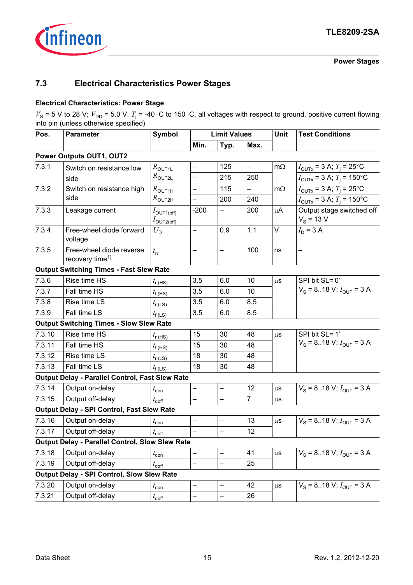

**Power Stages**

### <span id="page-14-0"></span>**7.3 Electrical Characteristics Power Stages**

#### **Electrical Characteristics: Power Stage**

 $V_s$  = 5 V to 28 V;  $V_{\text{DD}}$  = 5.0 V,  $T_i$  = -40 ⋅C to 150 ⋅C, all voltages with respect to ground, positive current flowing into pin (unless otherwise specified)

| Pos.   | <b>Parameter</b>                                        | <b>Symbol</b>                                      | <b>Limit Values</b>      |                          |                          | Unit      | <b>Test Conditions</b>                          |
|--------|---------------------------------------------------------|----------------------------------------------------|--------------------------|--------------------------|--------------------------|-----------|-------------------------------------------------|
|        |                                                         |                                                    | Min.                     | Typ.                     | Max.                     |           |                                                 |
|        | Power Outputs OUT1, OUT2                                |                                                    |                          |                          |                          |           |                                                 |
| 7.3.1  | Switch on resistance low                                | $R_{\text{OUT1L}}$                                 | —                        | 125                      | $\overline{\phantom{0}}$ | $m\Omega$ | $I_{\text{OUTX}}$ = 3 A; $T_{\text{j}}$ = 25°C  |
|        | side                                                    | $R_{\text{OUT2L}}$                                 | $\overline{\phantom{0}}$ | 215                      | 250                      |           | $I_{\text{OUTX}}$ = 3 A; $T_{\text{i}}$ = 150°C |
| 7.3.2  | Switch on resistance high                               | $R_{\rm OUT1H}$                                    | $\overline{\phantom{0}}$ | 115                      | —                        | $m\Omega$ | $I_{\text{OUTX}}$ = 3 A; $T_{\text{i}}$ = 25°C  |
|        | side                                                    | $R_{\text{OUT2H}}$                                 |                          | 200                      | 240                      |           | $I_{\text{OUTX}}$ = 3 A; $T_{\text{i}}$ = 150°C |
| 7.3.3  | Leakage current                                         | $I_{\text{OUT1(off)}}$<br>$I_{\mathrm{OUT2(off)}}$ | $-200$                   | —                        | 200                      | $\mu$ A   | Output stage switched off<br>$V_{\rm s}$ = 13 V |
| 7.3.4  | Free-wheel diode forward<br>voltage                     | $U_{\rm D}$                                        | $\overline{\phantom{0}}$ | 0.9                      | 1.1                      | V         | $I_{\rm D}$ = 3 A                               |
| 7.3.5  | Free-wheel diode reverse<br>recovery time <sup>1)</sup> | $t_{rr}$                                           | —                        | —                        | 100                      | ns        |                                                 |
|        | <b>Output Switching Times - Fast Slew Rate</b>          |                                                    |                          |                          |                          |           |                                                 |
| 7.3.6  | Rise time HS                                            | $t_{\rm r(HS)}$                                    | 3.5                      | 6.0                      | 10                       | $\mu$ s   | SPI bit SL='0'                                  |
| 7.3.7  | Fall time HS                                            | $t_{\rm f(B)}$                                     | 3.5                      | 6.0                      | 10                       |           | $V_{\rm s}$ = 818 V; $I_{\rm OUT}$ = 3 A        |
| 7.3.8  | Rise time LS                                            | $t_{\rm r (LS)}$                                   | 3.5                      | 6.0                      | 8.5                      |           |                                                 |
| 7.3.9  | Fall time LS                                            | $t_{\rm f(LS)}$                                    | 3.5                      | 6.0                      | 8.5                      |           |                                                 |
|        | <b>Output Switching Times - Slow Slew Rate</b>          |                                                    |                          |                          |                          |           |                                                 |
| 7.3.10 | Rise time HS                                            | $t_{\rm r(HS)}$                                    | 15                       | 30                       | 48                       | $\mu$ s   | SPI bit SL='1'                                  |
| 7.3.11 | Fall time HS                                            | $t_{\text{f(HS)}}$                                 | 15                       | 30                       | 48                       |           | $V_{\rm S}$ = 818 V; $I_{\rm OUT}$ = 3 A        |
| 7.3.12 | Rise time LS                                            | $t_{\rm r (LS)}$                                   | 18                       | 30                       | 48                       |           |                                                 |
| 7.3.13 | Fall time LS                                            | $t_{\rm f(LS)}$                                    | 18                       | 30                       | 48                       |           |                                                 |
|        | <b>Output Delay - Parallel Control, Fast Slew Rate</b>  |                                                    |                          |                          |                          |           |                                                 |
| 7.3.14 | Output on-delay                                         | $t_{\text{don}}$                                   | $\overline{\phantom{0}}$ | -                        | 12                       | $\mu$ s   | $V_{\rm s}$ = 818 V; $I_{\rm OUT}$ = 3 A        |
| 7.3.15 | Output off-delay                                        | $t_{\text{doff}}$                                  |                          |                          | $\overline{7}$           | μS        |                                                 |
|        | Output Delay - SPI Control, Fast Slew Rate              |                                                    |                          |                          |                          |           |                                                 |
| 7.3.16 | Output on-delay                                         | $t_{\text{don}}$                                   | —                        |                          | 13                       | $\mu$ s   | $V_{\rm s}$ = 818 V; $I_{\rm OUT}$ = 3 A        |
| 7.3.17 | Output off-delay                                        | $t_{\text{doff}}$                                  | $\overline{\phantom{0}}$ | —                        | 12                       |           |                                                 |
|        | <b>Output Delay - Parallel Control, Slow Slew Rate</b>  |                                                    |                          |                          |                          |           |                                                 |
| 7.3.18 | Output on-delay                                         | $t_{\text{don}}$                                   | $\overline{\phantom{0}}$ | $\overline{\phantom{0}}$ | 41                       | $\mu$ s   | $V_{\rm S}$ = 818 V; $I_{\rm OUT}$ = 3 A        |
| 7.3.19 | Output off-delay                                        | $t_{\text{doff}}$                                  | $\overline{\phantom{0}}$ | —                        | 25                       |           |                                                 |
|        | <b>Output Delay - SPI Control, Slow Slew Rate</b>       |                                                    |                          |                          |                          |           |                                                 |
| 7.3.20 | Output on-delay                                         | $t_{\rm don}$                                      | —                        | —                        | 42                       | $\mu$ s   | $V_{\rm s}$ = 818 V; $I_{\rm OUT}$ = 3 A        |
| 7.3.21 | Output off-delay                                        | $t_{\text{doff}}$                                  | —                        | —                        | 26                       |           |                                                 |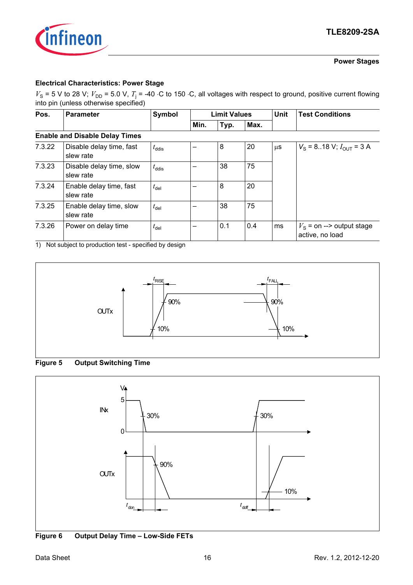

#### **Power Stages**

#### **Electrical Characteristics: Power Stage**

 $V_s$  = 5 V to 28 V;  $V_{\text{DD}}$  = 5.0 V,  $T_i$  = -40 ⋅C to 150 ⋅C, all voltages with respect to ground, positive current flowing into pin (unless otherwise specified)

| Pos.   | <b>Parameter</b>                      | Symbol            |      |      | <b>Limit Values</b> |         | <b>Test Conditions</b>                               |
|--------|---------------------------------------|-------------------|------|------|---------------------|---------|------------------------------------------------------|
|        |                                       |                   | Min. | Typ. | Max.                |         |                                                      |
|        | <b>Enable and Disable Delay Times</b> |                   |      |      |                     |         |                                                      |
| 7.3.22 | Disable delay time, fast<br>slew rate | $t_{\text{ddis}}$ |      | 8    | 20                  | $\mu$ S | $V_{\rm s}$ = 818 V; $I_{\rm OUT}$ = 3 A             |
| 7.3.23 | Disable delay time, slow<br>slew rate | $t_{\text{ddis}}$ |      | 38   | 75                  |         |                                                      |
| 7.3.24 | Enable delay time, fast<br>slew rate  | $t_{\text{del}}$  |      | 8    | 20                  |         |                                                      |
| 7.3.25 | Enable delay time, slow<br>slew rate  | $t_{\text{del}}$  |      | 38   | 75                  |         |                                                      |
| 7.3.26 | Power on delay time                   | $t_{\text{del}}$  |      | 0.1  | 0.4                 | ms      | $V_{\rm s}$ = on --> output stage<br>active, no load |

1) Not subject to production test - specified by design







**Figure 6 Output Delay Time – Low-Side FETs**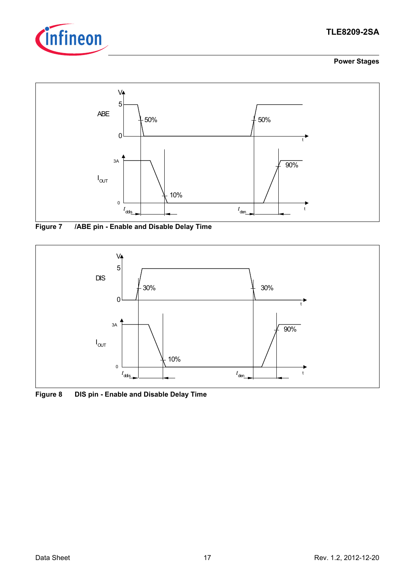

### **TLE8209-2SA**

#### **Power Stages**



**Figure 7 /ABE pin - Enable and Disable Delay Time**



**Figure 8 DIS pin - Enable and Disable Delay Time**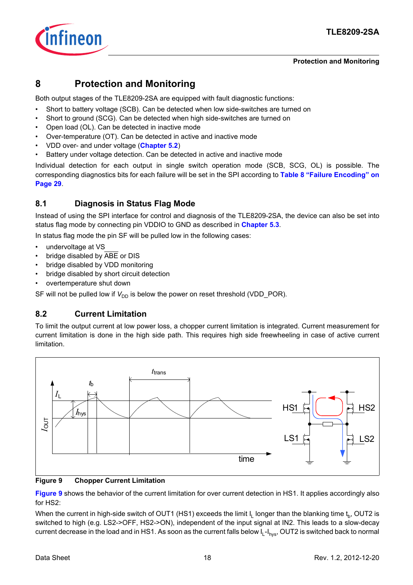

### <span id="page-17-0"></span>**8 Protection and Monitoring**

Both output stages of the TLE8209-2SA are equipped with fault diagnostic functions:

- Short to battery voltage (SCB). Can be detected when low side-switches are turned on
- Short to ground (SCG). Can be detected when high side-switches are turned on
- Open load (OL). Can be detected in inactive mode
- Over-temperature (OT). Can be detected in active and inactive mode
- VDD over- and under voltage (**[Chapter 5.2](#page-8-3)**)
- Battery under voltage detection. Can be detected in active and inactive mode

Individual detection for each output in single switch operation mode (SCB, SCG, OL) is possible. The corresponding diagnostics bits for each failure will be set in the SPI according to **[Table 8 "Failure Encoding" on](#page-28-0) [Page 29](#page-28-0)**.

### <span id="page-17-1"></span>**8.1 Diagnosis in Status Flag Mode**

Instead of using the SPI interface for control and diagnosis of the TLE8209-2SA, the device can also be set into status flag mode by connecting pin VDDIO to GND as described in **[Chapter 5.3](#page-9-1)**.

In status flag mode the pin SF will be pulled low in the following cases:

- undervoltage at VS
- bridge disabled by ABE or DIS
- bridge disabled by VDD monitoring
- bridge disabled by short circuit detection
- overtemperature shut down

SF will not be pulled low if  $V_{DD}$  is below the power on reset threshold (VDD\_POR).

### <span id="page-17-2"></span>**8.2 Current Limitation**

To limit the output current at low power loss, a chopper current limitation is integrated. Current measurement for current limitation is done in the high side path. This requires high side freewheeling in case of active current limitation.



#### <span id="page-17-3"></span>**Figure 9 Chopper Current Limitation**

**[Figure 9](#page-17-3)** shows the behavior of the current limitation for over current detection in HS1. It applies accordingly also for HS2:

When the current in high-side switch of OUT1 (HS1) exceeds the limit  $I_1$  longer than the blanking time  $t_n$ , OUT2 is switched to high (e.g. LS2->OFF, HS2->ON), independent of the input signal at IN2. This leads to a slow-decay current decrease in the load and in HS1. As soon as the current falls below  $I_{L}$ - $I_{hvs}$ , OUT2 is switched back to normal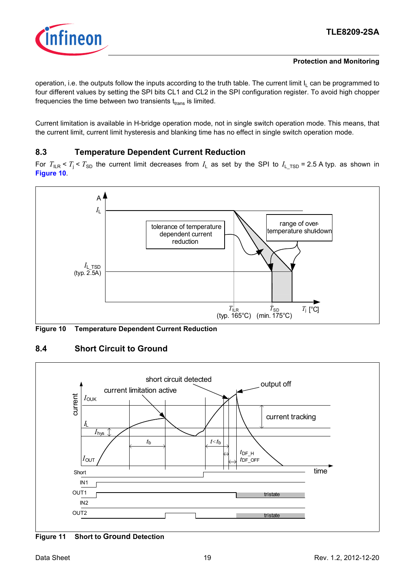

operation, i.e. the outputs follow the inputs according to the truth table. The current limit  $I_1$  can be programmed to four different values by setting the SPI bits CL1 and CL2 in the SPI configuration register. To avoid high chopper frequencies the time between two transients  $t_{trans}$  is limited.

Current limitation is available in H-bridge operation mode, not in single switch operation mode. This means, that the current limit, current limit hysteresis and blanking time has no effect in single switch operation mode.

### <span id="page-18-0"></span>**8.3 Temperature Dependent Current Reduction**

For  $T_{\text{HR}} < T_i < T_{\text{SD}}$  the current limit decreases from  $I_i$  as set by the SPI to  $I_i$ <sub>TSD</sub> = 2.5 A typ. as shown in **[Figure 10](#page-18-2)**.



<span id="page-18-2"></span>**Figure 10 Temperature Dependent Current Reduction**

<span id="page-18-1"></span>



**Figure 11 Short to Ground Detection**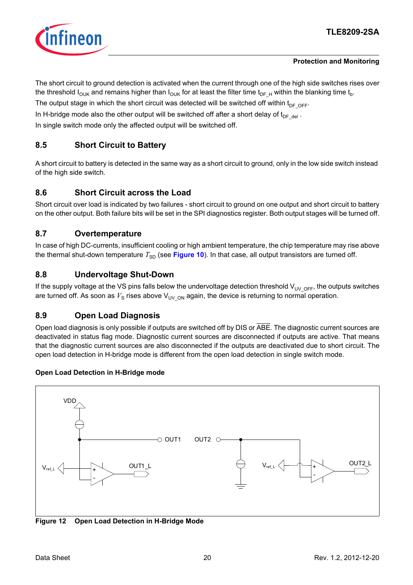

The short circuit to ground detection is activated when the current through one of the high side switches rises over the threshold  $I_{\text{OUK}}$  and remains higher than  $I_{\text{OUK}}$  for at least the filter time t<sub>DF-H</sub> within the blanking time t<sub>b</sub>.

The output stage in which the short circuit was detected will be switched off within  $t_{DF-OFF}$ .

In H-bridge mode also the other output will be switched off after a short delay of  $t_{DE-del}$ .

In single switch mode only the affected output will be switched off.

### <span id="page-19-0"></span>**8.5 Short Circuit to Battery**

A short circuit to battery is detected in the same way as a short circuit to ground, only in the low side switch instead of the high side switch.

### <span id="page-19-1"></span>**8.6 Short Circuit across the Load**

Short circuit over load is indicated by two failures - short circuit to ground on one output and short circuit to battery on the other output. Both failure bits will be set in the SPI diagnostics register. Both output stages will be turned off.

### <span id="page-19-2"></span>**8.7 Overtemperature**

In case of high DC-currents, insufficient cooling or high ambient temperature, the chip temperature may rise above the thermal shut-down temperature  $T_{SD}$  (see **[Figure 10](#page-18-2)**). In that case, all output transistors are turned off.

### <span id="page-19-3"></span>**8.8 Undervoltage Shut-Down**

If the supply voltage at the VS pins falls below the undervoltage detection threshold  $V_{UV-OFF}$ , the outputs switches are turned off. As soon as  $V_S$  rises above  $V_{UVON}$  again, the device is returning to normal operation.

### <span id="page-19-4"></span>**8.9 Open Load Diagnosis**

Open load diagnosis is only possible if outputs are switched off by DIS or ABE. The diagnostic current sources are deactivated in status flag mode. Diagnostic current sources are disconnected if outputs are active. That means that the diagnostic current sources are also disconnected if the outputs are deactivated due to short circuit. The open load detection in H-bridge mode is different from the open load detection in single switch mode.

#### **Open Load Detection in H-Bridge mode**



**Figure 12 Open Load Detection in H-Bridge Mode**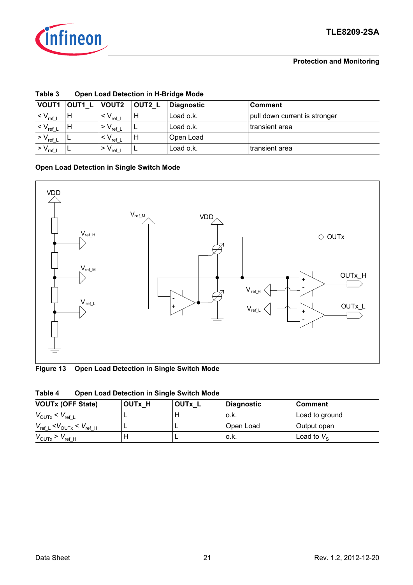

| rapie o            |        | Open Load Detection in H-Bridge Mode |        |                   |                               |  |  |  |  |
|--------------------|--------|--------------------------------------|--------|-------------------|-------------------------------|--|--|--|--|
| <b>VOUT1</b>       | OUT1 L | <b>VOUT2</b>                         | OUT2 L | <b>Diagnostic</b> | <b>Comment</b>                |  |  |  |  |
| $V_{ref\_L}$       |        | $V_{\rm ref\_L}$                     |        | Load o.k.         | pull down current is stronger |  |  |  |  |
| $< V_{\rm ref\_L}$ |        | $V_{\rm ref\_L}$                     |        | Load o.k.         | transient area                |  |  |  |  |
| $> V_{ref\_L}$     |        | ' < V <sub>ref_L</sub>               | н      | Open Load         |                               |  |  |  |  |
| $> V_{ref\_L}$     |        | ∣ > V <sub>ref_L</sub>               |        | Load o.k.         | transient area                |  |  |  |  |

### **Table 3 Open Load Detection in H-Bridge Mode**

### **Open Load Detection in Single Switch Mode**



**Figure 13 Open Load Detection in Single Switch Mode**

| Tanic 4                                |               | Open Load Detection in Single Switch Mode |                   |                |  |
|----------------------------------------|---------------|-------------------------------------------|-------------------|----------------|--|
| <b>VOUTx (OFF State)</b>               | <b>OUTx H</b> | OUTx L                                    | <b>Diagnostic</b> | <b>Comment</b> |  |
| $V_{\text{OUTX}} < V_{\text{ref L}}$   |               |                                           | o.k.              | Load to ground |  |
| $V_{ref \ L}$                          |               |                                           | Open Load         | Output open    |  |
| $V_{\text{OUTX}}$ > $V_{\text{ref H}}$ |               |                                           | o.k.              | Load to $V_s$  |  |

| Table 4 | <b>Open Load Detection in Single Switch Mode</b> |  |
|---------|--------------------------------------------------|--|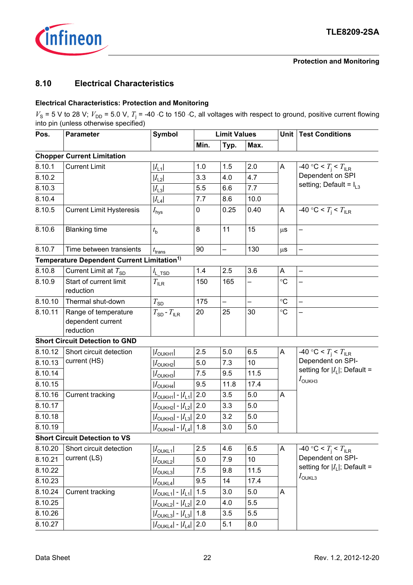

### <span id="page-21-0"></span>**8.10 Electrical Characteristics**

#### **Electrical Characteristics: Protection and Monitoring**

 $V_s$  = 5 V to 28 V;  $V_{\text{DD}}$  = 5.0 V,  $T_i$  = -40 ⋅C to 150 ⋅C, all voltages with respect to ground, positive current flowing into pin (unless otherwise specified)

| Pos.<br><b>Parameter</b> |                                                        | <b>Symbol</b>                            | <b>Limit Values</b> |                          |          | Unit                      | <b>Test Conditions</b>               |
|--------------------------|--------------------------------------------------------|------------------------------------------|---------------------|--------------------------|----------|---------------------------|--------------------------------------|
|                          |                                                        |                                          | Min.                | Typ.                     | Max.     |                           |                                      |
|                          | <b>Chopper Current Limitation</b>                      |                                          |                     |                          |          |                           |                                      |
| 8.10.1                   | <b>Current Limit</b>                                   | $ I_{L1} $                               | 1.0                 | 1.5                      | 2.0      | A                         | -40 °C < $T_{\rm i}$ < $T_{\rm ILR}$ |
| 8.10.2                   |                                                        | $ I_{L2} $                               | 3.3                 | 4.0                      | 4.7      |                           | Dependent on SPI                     |
| 8.10.3                   |                                                        | $ I_{L3} $                               | 5.5                 | 6.6                      | 7.7      |                           | setting; Default = $I_{L3}$          |
| 8.10.4                   |                                                        | $ I_{\text{L4}} $                        | 7.7                 | 8.6                      | 10.0     |                           |                                      |
| 8.10.5                   | <b>Current Limit Hysteresis</b>                        | $I_{\mathsf{hys}}$                       | 0                   | 0.25                     | 0.40     | A                         | -40 °C < $T_i$ < $T_{ILR}$           |
| 8.10.6                   | <b>Blanking time</b>                                   | $t_{\sf b}$                              | 8                   | 11                       | 15       | $\mu$ S                   |                                      |
| 8.10.7                   | Time between transients                                | $t_{\sf trans}$                          | 90                  | $\overline{\phantom{0}}$ | 130      | $\mu$ S                   | $\overline{\phantom{0}}$             |
|                          | Temperature Dependent Current Limitation <sup>1)</sup> |                                          |                     |                          |          |                           |                                      |
| 8.10.8                   | Current Limit at $T_{SD}$                              | $I_{L_TSD}$                              | 1.4                 | 2.5                      | 3.6      | A                         |                                      |
| 8.10.9                   | Start of current limit<br>reduction                    | $T_{\text{ILR}}$                         | 150                 | 165                      |          | $\circ$ C                 |                                      |
| 8.10.10                  | Thermal shut-down                                      | $T_{SD}$                                 | 175                 | $\overline{\phantom{0}}$ | $\equiv$ | $\circ$ C                 | $\overline{a}$                       |
| 8.10.11                  | Range of temperature<br>dependent current<br>reduction | $T_{SD}$ - $T_{ILR}$                     | 20                  | 25                       | 30       | $\circ$ C                 |                                      |
|                          | <b>Short Circuit Detection to GND</b>                  |                                          |                     |                          |          |                           |                                      |
| 8.10.12                  | Short circuit detection                                | $ I_{\text{OWH1}} $                      | 2.5                 | 5.0                      | 6.5      | $\boldsymbol{\mathsf{A}}$ | -40 °C < $T_{\rm i}$ < $T_{\rm ILR}$ |
| 8.10.13                  | current (HS)                                           | $ I_{\text{OUKH2}} $                     | 5.0                 | 7.3                      | 10       |                           | Dependent on SPI-                    |
| 8.10.14                  |                                                        | $ I_{\text{OUKH3}} $                     | 7.5                 | 9.5                      | 11.5     |                           | setting for $ I_L $ ; Default =      |
| 8.10.15                  |                                                        | $ I_{\text{OUKH4}} $                     | 9.5                 | 11.8                     | 17.4     |                           | $I_{\text{OUKH3}}$                   |
| 8.10.16                  | <b>Current tracking</b>                                | $ I_{\text{OUKH1}} $ - $ I_{\text{L1}} $ | 2.0                 | 3.5                      | 5.0      | A                         |                                      |
| 8.10.17                  |                                                        | $ I_{\text{OUKH2}} $ - $ I_{\text{L2}} $ | 2.0                 | 3.3                      | 5.0      |                           |                                      |
| 8.10.18                  |                                                        | $ I_{\text{OUKH3}} $ - $ I_{\text{L3}} $ | 2.0                 | 3.2                      | 5.0      |                           |                                      |
| 8.10.19                  |                                                        | $ I_{\text{OUKH4}} $ - $ I_{\text{L4}} $ | 1.8                 | 3.0                      | 5.0      |                           |                                      |
|                          | <b>Short Circuit Detection to VS</b>                   |                                          |                     |                          |          |                           |                                      |
| 8.10.20                  | Short circuit detection                                | $ I_{\text{OWL1}} $                      | 2.5                 | 4.6                      | 6.5      | A                         | -40 °C < $T_{\rm i}$ < $T_{\rm ILR}$ |
| 8.10.21                  | current (LS)                                           | $ I_{\text{OWL2}} $                      | 5.0                 | 7.9                      | 10       |                           | Dependent on SPI-                    |
| 8.10.22                  |                                                        | $ I_{\text{OUKL3}} $                     | 7.5                 | 9.8                      | 11.5     |                           | setting for $ I_L $ ; Default =      |
| 8.10.23                  |                                                        | $ I_{\text{OWL4}} $                      | 9.5                 | 14                       | 17.4     |                           | $I_{\text{OUKL3}}$                   |
| 8.10.24                  | <b>Current tracking</b>                                | $ I_{\text{OUKL1}}  -  I_{\text{L1}} $   | 1.5                 | 3.0                      | 5.0      | A                         |                                      |
| 8.10.25                  |                                                        | $ I_{\text{OUKL2}} $ - $ I_{\text{L2}} $ | 2.0                 | 4.0                      | 5.5      |                           |                                      |
| 8.10.26                  |                                                        | $ I_{\text{OUKL3}} $ - $ I_{\text{L3}} $ | 1.8                 | 3.5                      | 5.5      |                           |                                      |
| 8.10.27                  |                                                        | $ I_{\text{OUKL4}} $ - $ I_{\text{L4}} $ | 2.0                 | 5.1                      | 8.0      |                           |                                      |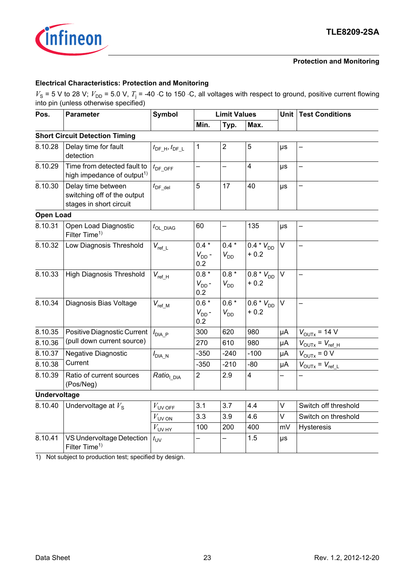

### **Electrical Characteristics: Protection and Monitoring**

 $V_s$  = 5 V to 28 V;  $V_{\text{DD}}$  = 5.0 V,  $T_i$  = -40 ⋅C to 150 ⋅C, all voltages with respect to ground, positive current flowing into pin (unless otherwise specified)

| Pos.                | <b>Parameter</b>                                                             | <b>Symbol</b>                        |                              | <b>Limit Values</b> |                                     |         | <b>Unit   Test Conditions</b>        |  |
|---------------------|------------------------------------------------------------------------------|--------------------------------------|------------------------------|---------------------|-------------------------------------|---------|--------------------------------------|--|
|                     |                                                                              |                                      | Min.                         | Typ.                | Max.                                |         |                                      |  |
|                     | <b>Short Circuit Detection Timing</b>                                        |                                      |                              |                     |                                     |         |                                      |  |
| 8.10.28             | Delay time for fault<br>detection                                            | $t_{\text{DF\_H}}, t_{\text{DF\_L}}$ | 1                            | $\overline{2}$      | 5                                   | $\mu s$ |                                      |  |
| 8.10.29             | Time from detected fault to<br>high impedance of output <sup>1)</sup>        | $t_{\text{DF\_OFF}}$                 |                              |                     | $\overline{\mathbf{4}}$             | μs      |                                      |  |
| 8.10.30             | Delay time between<br>switching off of the output<br>stages in short circuit | $t_{\mathsf{DF\_del}}$               | $\overline{5}$               | 17                  | 40                                  | $\mu s$ |                                      |  |
| <b>Open Load</b>    |                                                                              |                                      |                              |                     |                                     |         |                                      |  |
| 8.10.31             | Open Load Diagnostic<br>Filter Time <sup>1)</sup>                            | $t_{\text{OL\_DIAG}}$                | 60                           |                     | 135                                 | $\mu s$ |                                      |  |
| 8.10.32             | Low Diagnosis Threshold                                                      | $V_{ref\_L}$                         | $0.4 *$<br>$V_{DD}$ -<br>0.2 | $0.4 *$<br>$V_{DD}$ | $0.4 * V_{DD}$<br>$+0.2$            | $\vee$  |                                      |  |
| 8.10.33             | <b>High Diagnosis Threshold</b>                                              | $V_{ref_H}$                          | $0.8 *$<br>$V_{DD}$ -<br>0.2 | $0.8 *$<br>$V_{DD}$ | $0.8 * V_{DD}$<br>$+0.2$            | $\vee$  |                                      |  |
| 8.10.34             | Diagnosis Bias Voltage                                                       | $V_{ref\_M}$                         | $0.6 *$<br>$V_{DD}$ -<br>0.2 | $0.6*$<br>$V_{DD}$  | $\overline{0.6} * V_{DD}$<br>$+0.2$ | $\vee$  | $\overline{\phantom{0}}$             |  |
| 8.10.35             | Positive Diagnostic Current                                                  | $I_{\text{DIA\_P}}$                  | 300                          | 620                 | 980                                 | μA      | $V_{\text{OUTX}}$ = 14 V             |  |
| 8.10.36             | (pull down current source)                                                   |                                      | 270                          | 610                 | 980                                 | μA      | $V_{\text{OUTX}} = V_{\text{ref_H}}$ |  |
| 8.10.37             | Negative Diagnostic                                                          | $I_{\text{DIA}_N}$                   | $-350$                       | $-240$              | $-100$                              | μA      | $V_{\text{OUTX}} = 0 V$              |  |
| 8.10.38             | Current                                                                      |                                      | $-350$                       | $-210$              | $-80$                               | μA      | $V_{\text{OUTX}} = V_{\text{ref L}}$ |  |
| 8.10.39             | Ratio of current sources<br>(Pos/Neg)                                        | Ratio <sub>l DIA</sub>               | $\overline{2}$               | 2.9                 | $\overline{\mathbf{4}}$             |         |                                      |  |
| <b>Undervoltage</b> |                                                                              |                                      |                              |                     |                                     |         |                                      |  |
| 8.10.40             | Undervoltage at $V_s$                                                        | $V_{\text{UV OFF}}$                  | 3.1                          | 3.7                 | 4.4                                 | $\vee$  | Switch off threshold                 |  |
|                     |                                                                              | $V_{\text{UV ON}}$                   | 3.3                          | 3.9                 | 4.6                                 | $\vee$  | Switch on threshold                  |  |
|                     |                                                                              | $V_{UV \, HY}$                       | 100                          | 200                 | 400                                 | mV      | Hysteresis                           |  |
| 8.10.41             | VS Undervoltage Detection<br>Filter Time <sup>1)</sup>                       | $t_{\text{UV}}$                      |                              |                     | 1.5                                 | $\mu s$ |                                      |  |

<span id="page-22-0"></span>1) Not subject to production test; specified by design.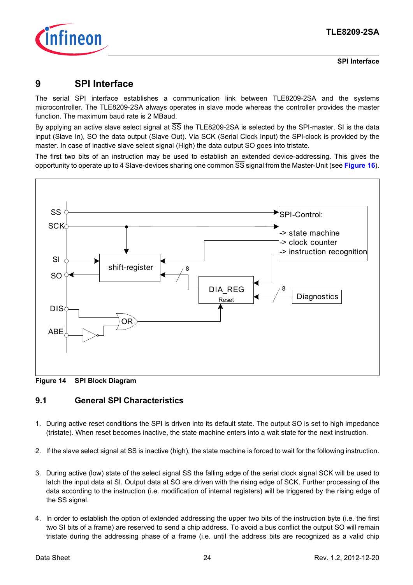

### <span id="page-23-0"></span>**9 SPI Interface**

The serial SPI interface establishes a communication link between TLE8209-2SA and the systems microcontroller. The TLE8209-2SA always operates in slave mode whereas the controller provides the master function. The maximum baud rate is 2 MBaud.

By applying an active slave select signal at  $\overline{SS}$  the TLE8209-2SA is selected by the SPI-master. SI is the data input (Slave In), SO the data output (Slave Out). Via SCK (Serial Clock Input) the SPI-clock is provided by the master. In case of inactive slave select signal (High) the data output SO goes into tristate.

The first two bits of an instruction may be used to establish an extended device-addressing. This gives the opportunity to operate up to 4 Slave-devices sharing one common SS signal from the Master-Unit (see **[Figure 16](#page-25-0)**).



**Figure 14 SPI Block Diagram**

### <span id="page-23-1"></span>**9.1 General SPI Characteristics**

- 1. During active reset conditions the SPI is driven into its default state. The output SO is set to high impedance (tristate). When reset becomes inactive, the state machine enters into a wait state for the next instruction.
- 2. If the slave select signal at SS is inactive (high), the state machine is forced to wait for the following instruction.
- 3. During active (low) state of the select signal SS the falling edge of the serial clock signal SCK will be used to latch the input data at SI. Output data at SO are driven with the rising edge of SCK. Further processing of the data according to the instruction (i.e. modification of internal registers) will be triggered by the rising edge of the SS signal.
- 4. In order to establish the option of extended addressing the upper two bits of the instruction byte (i.e. the first two SI bits of a frame) are reserved to send a chip address. To avoid a bus conflict the output SO will remain tristate during the addressing phase of a frame (i.e. until the address bits are recognized as a valid chip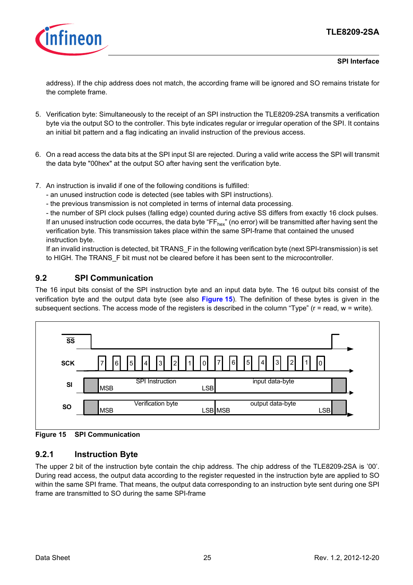### **TLE8209-2SA**



#### **SPI Interface**

address). If the chip address does not match, the according frame will be ignored and SO remains tristate for the complete frame.

- 5. Verification byte: Simultaneously to the receipt of an SPI instruction the TLE8209-2SA transmits a verification byte via the output SO to the controller. This byte indicates regular or irregular operation of the SPI. It contains an initial bit pattern and a flag indicating an invalid instruction of the previous access.
- 6. On a read access the data bits at the SPI input SI are rejected. During a valid write access the SPI will transmit the data byte "00hex" at the output SO after having sent the verification byte.
- 7. An instruction is invalid if one of the following conditions is fulfilled:

- an unused instruction code is detected (see tables with SPI instructions).

- the previous transmission is not completed in terms of internal data processing.

- the number of SPI clock pulses (falling edge) counted during active SS differs from exactly 16 clock pulses. If an unused instruction code occurres, the data byte "FF $_{hex}$ " (no error) will be transmitted after having sent the verification byte. This transmission takes place within the same SPI-frame that contained the unused instruction byte.

If an invalid instruction is detected, bit TRANS F in the following verification byte (next SPI-transmission) is set to HIGH. The TRANS F bit must not be cleared before it has been sent to the microcontroller.

### <span id="page-24-0"></span>**9.2 SPI Communication**

The 16 input bits consist of the SPI instruction byte and an input data byte. The 16 output bits consist of the verification byte and the output data byte (see also **[Figure 15](#page-24-1)**). The definition of these bytes is given in the subsequent sections. The access mode of the registers is described in the column "Type" (r = read, w = write).



<span id="page-24-1"></span>**Figure 15 SPI Communication**

### <span id="page-24-2"></span>**9.2.1 Instruction Byte**

The upper 2 bit of the instruction byte contain the chip address. The chip address of the TLE8209-2SA is '00'. During read access, the output data according to the register requested in the instruction byte are applied to SO within the same SPI frame. That means, the output data corresponding to an instruction byte sent during one SPI frame are transmitted to SO during the same SPI-frame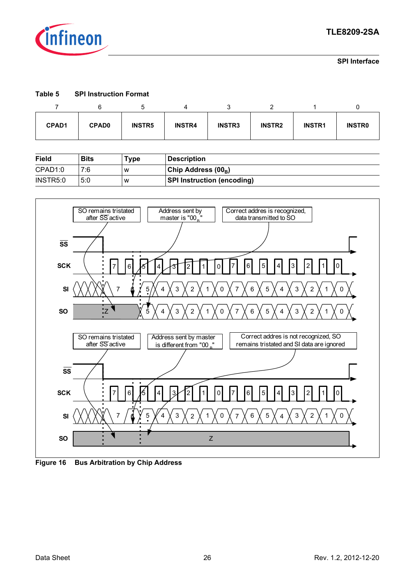

#### **Table 5 SPI Instruction Format**

| <b>CPAD1</b> | <b>CPAD0</b> | <b>INSTR5</b> | <b>INSTR4</b> | <b>INSTR3</b> | <b>INSTR2</b> | <b>INSTR1</b> | <b>INSTRO</b> |
|--------------|--------------|---------------|---------------|---------------|---------------|---------------|---------------|

| Field    | Bits | Type | <b>Description</b>                |
|----------|------|------|-----------------------------------|
| CPAD1:0  | 7:6  | W    | Chip Address (00 <sub>B</sub> )   |
| INSTR5:0 | 5:0  | W    | <b>SPI Instruction (encoding)</b> |



<span id="page-25-0"></span>**Figure 16 Bus Arbitration by Chip Address**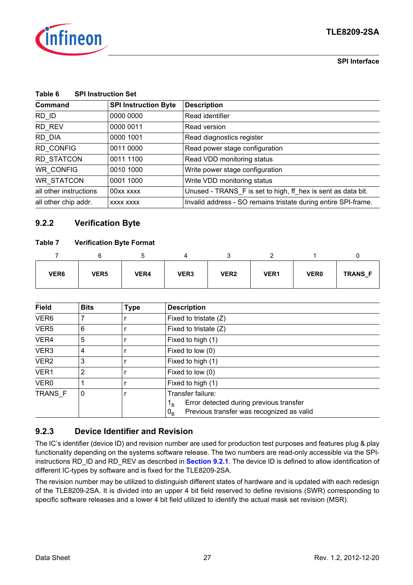

| Command                | <b>SPI Instruction Byte</b> | <b>Description</b>                                             |
|------------------------|-----------------------------|----------------------------------------------------------------|
| $RD$ <sub>ID</sub>     | 0000 0000                   | Read identifier                                                |
| RD_REV                 | 0000 0011                   | Read version                                                   |
| RD DIA                 | 0000 1001                   | Read diagnostics register                                      |
| <b>RD CONFIG</b>       | 0011 0000                   | Read power stage configuration                                 |
| RD STATCON             | 0011 1100                   | Read VDD monitoring status                                     |
| <b>WR CONFIG</b>       | 0010 1000                   | Write power stage configuration                                |
| <b>WR STATCON</b>      | 0001 1000                   | Write VDD monitoring status                                    |
| all other instructions | 00xx xxxx                   | Unused - TRANS_F is set to high, ff_hex is sent as data bit.   |
| all other chip addr.   | XXXX XXXX                   | Invalid address - SO remains tristate during entire SPI-frame. |

### **9.2.2 Verification Byte**

#### **Table 7 Verification Byte Format**

| VER <sub>6</sub> | VER <sub>5</sub> | VER4 | VER <sub>3</sub> | VER <sub>2</sub> | VER1 | <b>VER0</b> | <b>TRANS F</b> |
|------------------|------------------|------|------------------|------------------|------|-------------|----------------|

| <b>Field</b>     | <b>Bits</b> | <b>Type</b> | <b>Description</b>                                                                                                                         |
|------------------|-------------|-------------|--------------------------------------------------------------------------------------------------------------------------------------------|
| VER <sub>6</sub> |             |             | Fixed to tristate $(Z)$                                                                                                                    |
| VER <sub>5</sub> | 6           |             | Fixed to tristate $(Z)$                                                                                                                    |
| VER4             | 5           |             | Fixed to high (1)                                                                                                                          |
| VER <sub>3</sub> | 4           |             | Fixed to low (0)                                                                                                                           |
| VER <sub>2</sub> | 3           |             | Fixed to high (1)                                                                                                                          |
| VER1             | 2           |             | Fixed to low (0)                                                                                                                           |
| VER <sub>0</sub> |             |             | Fixed to high (1)                                                                                                                          |
| TRANS F          | 0           |             | Transfer failure:<br>Error detected during previous transfer<br>1 <sub>R</sub><br>Previous transfer was recognized as valid<br>$0_{\rm B}$ |

### **9.2.3 Device Identifier and Revision**

The IC's identifier (device ID) and revision number are used for production test purposes and features plug & play functionality depending on the systems software release. The two numbers are read-only accessible via the SPIinstructions RD\_ID and RD\_REV as described in **[Section 9.2.1](#page-24-2)**. The device ID is defined to allow identification of different IC-types by software and is fixed for the TLE8209-2SA.

The revision number may be utilized to distinguish different states of hardware and is updated with each redesign of the TLE8209-2SA. It is divided into an upper 4 bit field reserved to define revisions (SWR) corresponding to specific software releases and a lower 4 bit field utilized to identify the actual mask set revision (MSR).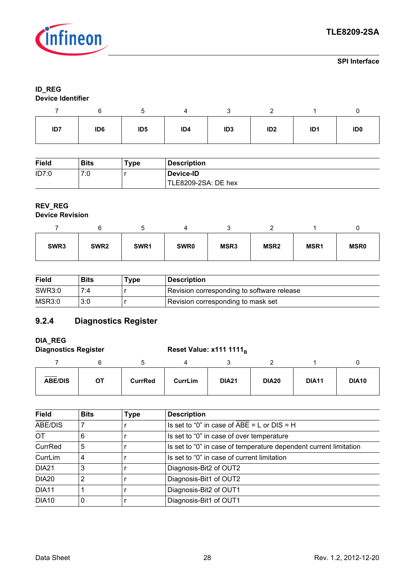

#### **ID\_REG Device Identifier**

| ID7 | ID <sub>6</sub> | ID <sub>5</sub> | ID4 | ID <sub>3</sub> | ID <sub>2</sub> | ID <sub>1</sub> | ID <sub>0</sub> |
|-----|-----------------|-----------------|-----|-----------------|-----------------|-----------------|-----------------|

| <b>Field</b> | <b>Bits</b> | туре | <b>Description</b>  |
|--------------|-------------|------|---------------------|
| ID7:0        | 7:0         |      | Device-ID           |
|              |             |      | TLE8209-2SA: DE hex |

## **REV\_REG**

### **Device Revision**

| SWR <sub>3</sub> | SWR <sub>2</sub> | SWR1 | SWR <sub>0</sub> | MSR3 | MSR <sub>2</sub> | MSR <sub>1</sub> | <b>MSR0</b> |
|------------------|------------------|------|------------------|------|------------------|------------------|-------------|

| <b>Field</b>  | <b>Bits</b> | туре | <b>Description</b>                         |
|---------------|-------------|------|--------------------------------------------|
| SWR3:0        | 7:4         |      | Revision corresponding to software release |
| <b>MSR3:0</b> | 3:0         |      | Revision corresponding to mask set         |

### **9.2.4 Diagnostics Register**

## **DIA\_REG**

### Diagnostics Register **Reset Value: x111 1111**<sub>B</sub>

| <b>ABE/DIS</b> | ОT | <b>CurrRed</b> | CurrLim | <b>DIA21</b> | <b>DIA20</b> | <b>DIA11</b> | <b>DIA10</b> |
|----------------|----|----------------|---------|--------------|--------------|--------------|--------------|

| <b>Field</b>      | <b>Bits</b> | <b>Type</b> | <b>Description</b>                                                |
|-------------------|-------------|-------------|-------------------------------------------------------------------|
| ABE/DIS           |             |             | Is set to "0" in case of ABE = $L$ or DIS = H                     |
| <b>OT</b>         | 6           |             | Is set to "0" in case of over temperature                         |
| CurrRed           | 5           |             | Is set to "0" in case of temperature dependent current limitation |
| CurrLim           | 4           |             | Is set to "0" in case of current limitation                       |
| DIA <sub>21</sub> | 3           |             | Diagnosis-Bit2 of OUT2                                            |
| <b>DIA20</b>      | 2           |             | Diagnosis-Bit1 of OUT2                                            |
| DIA11             |             |             | Diagnosis-Bit2 of OUT1                                            |
| <b>DIA10</b>      |             |             | Diagnosis-Bit1 of OUT1                                            |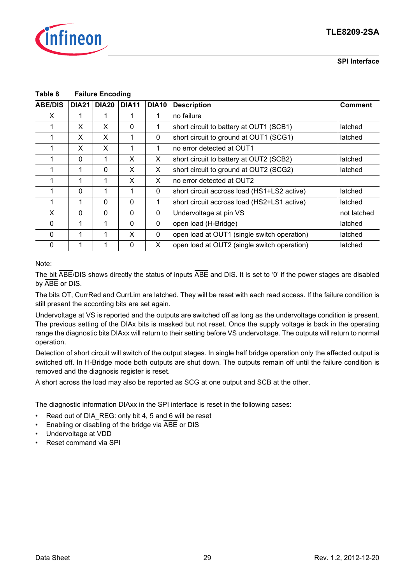

|                | Table o<br><b>Fallule Elicoully</b> |              |              |              |                                                        |                |  |
|----------------|-------------------------------------|--------------|--------------|--------------|--------------------------------------------------------|----------------|--|
| <b>ABE/DIS</b> | <b>DIA21</b>                        | <b>DIA20</b> | <b>DIA11</b> | <b>DIA10</b> | <b>Description</b>                                     | <b>Comment</b> |  |
| X              |                                     |              |              | 1            | no failure                                             |                |  |
|                | X                                   | X            | $\Omega$     |              | short circuit to battery at OUT1 (SCB1)                | latched        |  |
|                | X                                   | X            | 1            | $\mathbf 0$  | short circuit to ground at OUT1 (SCG1)                 | latched        |  |
|                | X                                   | X            | 1            |              | no error detected at OUT1                              |                |  |
|                | $\Omega$                            | 1            | X            | X            | short circuit to battery at OUT2 (SCB2)                | latched        |  |
|                |                                     | $\Omega$     | X            | X            | short circuit to ground at OUT2 (SCG2)<br>latched      |                |  |
|                |                                     |              | X            | X            | no error detected at OUT2                              |                |  |
|                | $\Omega$                            |              |              | $\mathbf{0}$ | short circuit accross load (HS1+LS2 active)            | latched        |  |
|                |                                     | $\Omega$     | $\Omega$     | 1            | short circuit accross load (HS2+LS1 active)            | latched        |  |
| X              | $\Omega$                            | $\Omega$     | $\Omega$     | $\mathbf{0}$ | Undervoltage at pin VS                                 | not latched    |  |
| 0              |                                     |              | 0            | 0            | open load (H-Bridge)                                   | latched        |  |
| $\Omega$       |                                     |              | X            | $\mathbf{0}$ | open load at OUT1 (single switch operation)            | latched        |  |
| 0              |                                     |              | $\Omega$     | X            | open load at OUT2 (single switch operation)<br>latched |                |  |

#### <span id="page-28-0"></span>**Table 8 Failure Encoding**

#### Note:

The bit ABE/DIS shows directly the status of inputs ABE and DIS. It is set to '0' if the power stages are disabled by ABE or DIS.

The bits OT, CurrRed and CurrLim are latched. They will be reset with each read access. If the failure condition is still present the according bits are set again.

Undervoltage at VS is reported and the outputs are switched off as long as the undervoltage condition is present. The previous setting of the DIAx bits is masked but not reset. Once the supply voltage is back in the operating range the diagnostic bits DIAxx will return to their setting before VS undervoltage. The outputs will return to normal operation.

Detection of short circuit will switch of the output stages. In single half bridge operation only the affected output is switched off. In H-Bridge mode both outputs are shut down. The outputs remain off until the failure condition is removed and the diagnosis register is reset.

A short across the load may also be reported as SCG at one output and SCB at the other.

The diagnostic information DIAxx in the SPI interface is reset in the following cases:

- Read out of DIA\_REG: only bit 4, 5 and 6 will be reset
- Enabling or disabling of the bridge via ABE or DIS
- Undervoltage at VDD
- Reset command via SPI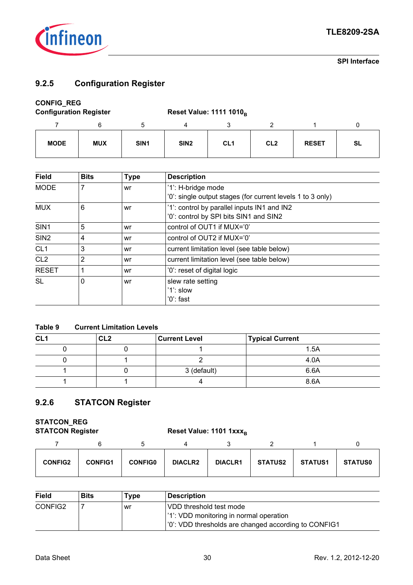

### **9.2.5 Configuration Register**

### **CONFIG\_REG**

| <b>Configuration Register</b> |            |                  |                  | <b>Reset Value: 1111 1010</b> <sub>B</sub> |                 |              |           |  |
|-------------------------------|------------|------------------|------------------|--------------------------------------------|-----------------|--------------|-----------|--|
|                               |            |                  |                  |                                            |                 |              |           |  |
| <b>MODE</b>                   | <b>MUX</b> | SIN <sub>1</sub> | SIN <sub>2</sub> | CL <sub>1</sub>                            | CL <sub>2</sub> | <b>RESET</b> | <b>SL</b> |  |

| <b>Field</b>     | <b>Bits</b> | <b>Type</b> | <b>Description</b>                                         |
|------------------|-------------|-------------|------------------------------------------------------------|
| <b>MODE</b>      | 7           | wr          | '1': H-bridge mode                                         |
|                  |             |             | '0': single output stages (for current levels 1 to 3 only) |
| <b>MUX</b>       | 6           | wr          | '1': control by parallel inputs IN1 and IN2                |
|                  |             |             | '0': control by SPI bits SIN1 and SIN2                     |
| SIN <sub>1</sub> | 5           | wr          | control of OUT1 if MUX='0'                                 |
| SIN <sub>2</sub> | 4           | wr          | control of OUT2 if MUX='0'                                 |
| CL <sub>1</sub>  | 3           | wr          | current limitation level (see table below)                 |
| CL <sub>2</sub>  | 2           | wr          | current limitation level (see table below)                 |
| <b>RESET</b>     | 1           | wr          | '0': reset of digital logic                                |
| <b>SL</b>        | 0           | wr          | slew rate setting                                          |
|                  |             |             | '1': slow                                                  |
|                  |             |             | '0': fast                                                  |

#### **Table 9 Current Limitation Levels**

| CL <sub>1</sub> | CL <sub>2</sub> | <b>Current Level</b> | <b>Typical Current</b> |
|-----------------|-----------------|----------------------|------------------------|
|                 |                 |                      | 1.5A                   |
|                 |                 |                      | 4.0A                   |
|                 |                 | 3 (default)          | 6.6A                   |
|                 |                 |                      | 8.6A                   |

### **9.2.6 STATCON Register**

## **STATCON\_REG**

**STATCON Register Reset Value: 1101 1xxx**B

| <b>CONFIG2</b> | <b>CONFIG1</b> | <b>CONFIG0</b> | <b>DIACLR2</b> | <b>DIACLR1</b> | <b>STATUS2</b> | <b>STATUS1</b> | <b>STATUS0</b> |
|----------------|----------------|----------------|----------------|----------------|----------------|----------------|----------------|

| <b>Field</b> | <b>Bits</b> | Type | <b>Description</b>                                   |
|--------------|-------------|------|------------------------------------------------------|
| CONFIG2      |             | wr   | VDD threshold test mode                              |
|              |             |      | '1': VDD monitoring in normal operation              |
|              |             |      | '0': VDD thresholds are changed according to CONFIG1 |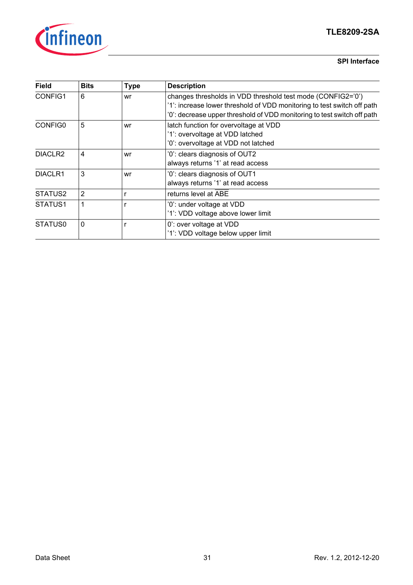

### **TLE8209-2SA**

#### **SPI Interface**

| <b>Field</b>        | <b>Bits</b>    | <b>Type</b> | <b>Description</b>                                                                                                                                                                                                |
|---------------------|----------------|-------------|-------------------------------------------------------------------------------------------------------------------------------------------------------------------------------------------------------------------|
| CONFIG1             | 6              | wr          | changes thresholds in VDD threshold test mode (CONFIG2='0')<br>'1': increase lower threshold of VDD monitoring to test switch off path<br>'0': decrease upper threshold of VDD monitoring to test switch off path |
| CONFIG0             | 5              | wr          | latch function for overvoltage at VDD<br>'1': overvoltage at VDD latched<br>'0': overvoltage at VDD not latched                                                                                                   |
| DIACLR <sub>2</sub> | 4              | wr          | '0': clears diagnosis of OUT2<br>always returns '1' at read access                                                                                                                                                |
| DIACLR1             | 3              | wr          | '0': clears diagnosis of OUT1<br>always returns '1' at read access                                                                                                                                                |
| STATUS2             | $\overline{2}$ | r           | returns level at ABE                                                                                                                                                                                              |
| STATUS1             | 1              |             | '0': under voltage at VDD<br>'1': VDD voltage above lower limit                                                                                                                                                   |
| STATUS0             | $\Omega$       |             | 0': over voltage at VDD<br>'1': VDD voltage below upper limit                                                                                                                                                     |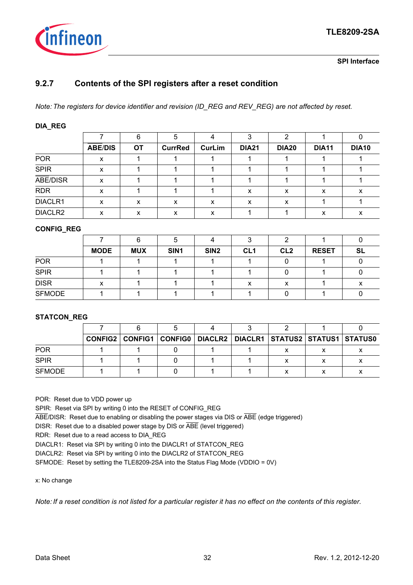

### **9.2.7 Contents of the SPI registers after a reset condition**

*Note: The registers for device identifier and revision (ID\_REG and REV\_REG) are not affected by reset.*

#### **DIA\_REG**

|             |                | 6         | 5              |               | 2            | 2            |              |              |
|-------------|----------------|-----------|----------------|---------------|--------------|--------------|--------------|--------------|
|             | <b>ABE/DIS</b> | <b>OT</b> | <b>CurrRed</b> | <b>CurLim</b> | <b>DIA21</b> | <b>DIA20</b> | <b>DIA11</b> | <b>DIA10</b> |
| <b>POR</b>  | x              |           |                |               |              |              |              |              |
| <b>SPIR</b> | X              |           |                |               |              |              |              |              |
| ABE/DISR    | x              |           |                |               |              |              |              |              |
| <b>RDR</b>  | X              |           |                |               | X            | X            | x            | х            |
| DIACLR1     | x              | x         | x              | x             | x            | x            |              |              |
| DIACLR2     | X              | x         | x              | x             |              |              | x            |              |

#### **CONFIG\_REG**

|               |             | 6          | ა    |                  |                 |                 |              |           |
|---------------|-------------|------------|------|------------------|-----------------|-----------------|--------------|-----------|
|               | <b>MODE</b> | <b>MUX</b> | SIN1 | SIN <sub>2</sub> | CL <sub>1</sub> | CL <sub>2</sub> | <b>RESET</b> | <b>SL</b> |
| <b>POR</b>    |             |            |      |                  |                 |                 |              |           |
| <b>SPIR</b>   |             |            |      |                  |                 |                 |              |           |
| <b>DISR</b>   | x           |            |      |                  | x               | х               |              |           |
| <b>SFMODE</b> |             |            |      |                  |                 |                 |              |           |

#### **STATCON\_REG**

|               |  | CONFIG2   CONFIG1   CONFIG0   DIACLR2   DIACLR1   STATUS2   STATUS1   STATUS0 |  |  |
|---------------|--|-------------------------------------------------------------------------------|--|--|
| <b>POR</b>    |  |                                                                               |  |  |
| <b>SPIR</b>   |  |                                                                               |  |  |
| <b>SFMODE</b> |  |                                                                               |  |  |

POR: Reset due to VDD power up

SPIR: Reset via SPI by writing 0 into the RESET of CONFIG\_REG

ABE/DISR: Reset due to enabling or disabling the power stages via DIS or ABE (edge triggered)

DISR: Reset due to a disabled power stage by DIS or ABE (level triggered)

RDR: Reset due to a read access to DIA\_REG

DIACLR1: Reset via SPI by writing 0 into the DIACLR1 of STATCON\_REG

DIACLR2: Reset via SPI by writing 0 into the DIACLR2 of STATCON\_REG

SFMODE: Reset by setting the TLE8209-2SA into the Status Flag Mode (VDDIO = 0V)

x: No change

*Note: If a reset condition is not listed for a particular register it has no effect on the contents of this register.*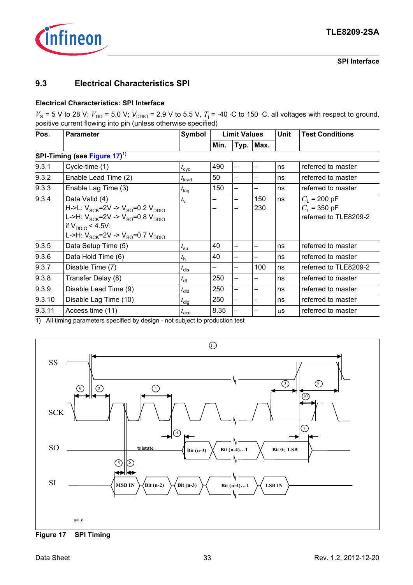

### <span id="page-32-0"></span>**9.3 Electrical Characteristics SPI**

#### **Electrical Characteristics: SPI Interface**

 $V_s$  = 5 V to 28 V;  $V_{DD}$  = 5.0 V;  $V_{DDIO}$  = 2.9 V to 5.5 V,  $T_i$  = -40 ⋅C to 150 ⋅C, all voltages with respect to ground, positive current flowing into pin (unless otherwise specified)

| Pos.   | <b>Parameter</b>                                                                                                                                                                                 | Symbol            | <b>Limit Values</b> |                 |                          | <b>Unit</b> | <b>Test Conditions</b>                                    |  |
|--------|--------------------------------------------------------------------------------------------------------------------------------------------------------------------------------------------------|-------------------|---------------------|-----------------|--------------------------|-------------|-----------------------------------------------------------|--|
|        |                                                                                                                                                                                                  |                   | Min.                | Typ.            | Max.                     |             |                                                           |  |
|        | SPI-Timing (see Figure 17) <sup>1)</sup>                                                                                                                                                         |                   |                     |                 |                          |             |                                                           |  |
| 9.3.1  | Cycle-time (1)                                                                                                                                                                                   | $t_{\rm cyc}$     | 490                 | —               | $\overline{\phantom{0}}$ | ns          | referred to master                                        |  |
| 9.3.2  | Enable Lead Time (2)                                                                                                                                                                             | $t_{\text{lead}}$ | 50                  | —               |                          | ns          | referred to master                                        |  |
| 9.3.3  | Enable Lag Time (3)                                                                                                                                                                              | $t_{\text{lag}}$  | 150                 | —               |                          | ns          | referred to master                                        |  |
| 9.3.4  | Data Valid (4)<br>H->L: $V_{SCK}$ =2V -> $V_{SO}$ =0.2 $V_{DDIO}$<br>L->H: $V_{SCK}$ =2V -> $V_{SO}$ =0.8 $V_{DDIO}$<br>if $V_{DDIO}$ < 4.5V:<br>L->H: $V_{SCK}$ =2V -> $V_{SO}$ =0.7 $V_{DDIO}$ | $t_{\rm v}$       |                     | —<br>-          | 150<br>230               | ns          | $C_1$ = 200 pF<br>$C_1$ = 350 pF<br>referred to TLE8209-2 |  |
| 9.3.5  | Data Setup Time (5)                                                                                                                                                                              | $t_{\rm su}$      | 40                  | -               |                          | ns          | referred to master                                        |  |
| 9.3.6  | Data Hold Time (6)                                                                                                                                                                               | $t_{\rm h}$       | 40                  | —               |                          | ns          | referred to master                                        |  |
| 9.3.7  | Disable Time (7)                                                                                                                                                                                 | $t_{\text{dis}}$  |                     | —               | 100                      | ns          | referred to TLE8209-2                                     |  |
| 9.3.8  | Transfer Delay (8)                                                                                                                                                                               | $t_{\text{dt}}$   | 250                 | —               |                          | ns          | referred to master                                        |  |
| 9.3.9  | Disable Lead Time (9)                                                                                                                                                                            | $t_{\text{dld}}$  | 250                 | $\qquad \qquad$ |                          | ns          | referred to master                                        |  |
| 9.3.10 | Disable Lag Time (10)                                                                                                                                                                            | $t_{\text{dlg}}$  | 250                 | $\qquad \qquad$ |                          | ns          | referred to master                                        |  |
| 9.3.11 | Access time (11)                                                                                                                                                                                 | $t_{\rm acc}$     | 8.35                |                 |                          | μS          | referred to master                                        |  |

1) All timing parameters specified by design - not subject to production test



<span id="page-32-1"></span>**Figure 17 SPI Timing**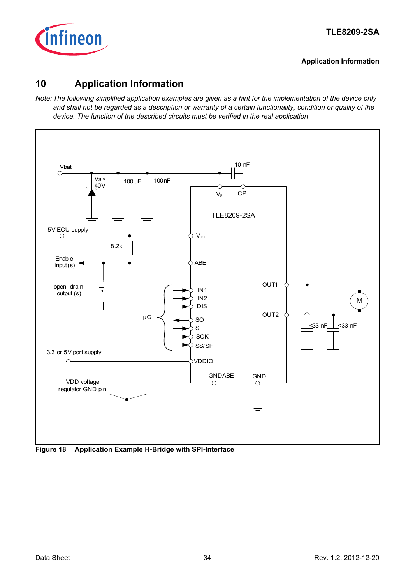

**Application Information**

### <span id="page-33-0"></span>**10 Application Information**

*Note: The following simplified application examples are given as a hint for the implementation of the device only and shall not be regarded as a description or warranty of a certain functionality, condition or quality of the device. The function of the described circuits must be verified in the real application*



**Figure 18 Application Example H-Bridge with SPI-Interface**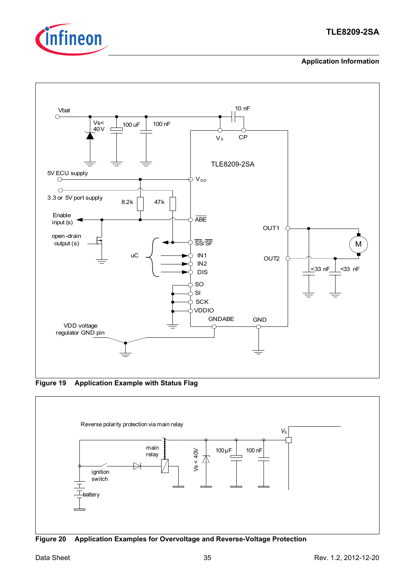

### **TLE8209-2SA**

#### **Application Information**



**Figure 19 Application Example with Status Flag**



**Figure 20 Application Examples for Overvoltage and Reverse-Voltage Protection**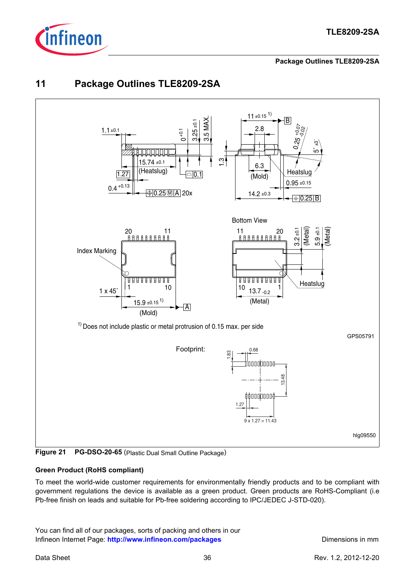

#### **Package Outlines TLE8209-2SA**

### <span id="page-35-0"></span>**11 Package Outlines TLE8209-2SA**



**Figure 21 PG-DSO-20-65** (Plastic Dual Small Outline Package)

### **Green Product (RoHS compliant)**

To meet the world-wide customer requirements for environmentally friendly products and to be compliant with government regulations the device is available as a green product. Green products are RoHS-Compliant (i.e Pb-free finish on leads and suitable for Pb-free soldering according to IPC/JEDEC J-STD-020).

You can find all of our packages, sorts of packing and others in our Infineon Internet Page: [http://www.infineon.com/packages](http://www.infineon.com/products/) **Dimensions in mm**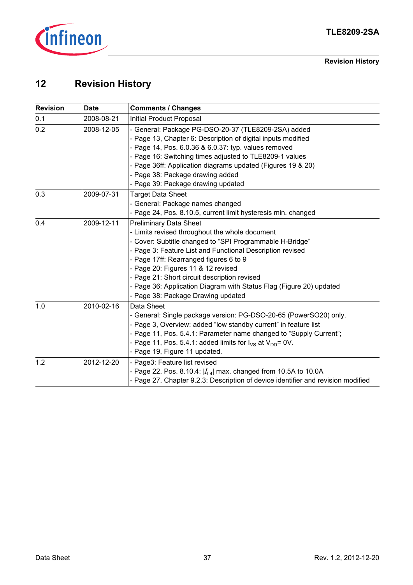

**Revision History**

## <span id="page-36-0"></span>**12 Revision History**

| <b>Revision</b> | <b>Date</b> | <b>Comments / Changes</b>                                                                                                                                                                                                                                                                                                                                                                                                                             |
|-----------------|-------------|-------------------------------------------------------------------------------------------------------------------------------------------------------------------------------------------------------------------------------------------------------------------------------------------------------------------------------------------------------------------------------------------------------------------------------------------------------|
| 0.1             | 2008-08-21  | Initial Product Proposal                                                                                                                                                                                                                                                                                                                                                                                                                              |
| 0.2             | 2008-12-05  | - General: Package PG-DSO-20-37 (TLE8209-2SA) added<br>- Page 13, Chapter 6: Description of digital inputs modified<br>- Page 14, Pos. 6.0.36 & 6.0.37: typ. values removed<br>- Page 16: Switching times adjusted to TLE8209-1 values<br>- Page 36ff: Application diagrams updated (Figures 19 & 20)<br>- Page 38: Package drawing added                                                                                                             |
| 0.3             | 2009-07-31  | - Page 39: Package drawing updated<br><b>Target Data Sheet</b><br>- General: Package names changed                                                                                                                                                                                                                                                                                                                                                    |
|                 |             | - Page 24, Pos. 8.10.5, current limit hysteresis min. changed                                                                                                                                                                                                                                                                                                                                                                                         |
| 0.4             | 2009-12-11  | <b>Preliminary Data Sheet</b><br>- Limits revised throughout the whole document<br>- Cover: Subtitle changed to "SPI Programmable H-Bridge"<br>- Page 3: Feature List and Functional Description revised<br>- Page 17ff: Rearranged figures 6 to 9<br>- Page 20: Figures 11 & 12 revised<br>- Page 21: Short circuit description revised<br>- Page 36: Application Diagram with Status Flag (Figure 20) updated<br>- Page 38: Package Drawing updated |
| 1.0             | 2010-02-16  | Data Sheet<br>- General: Single package version: PG-DSO-20-65 (PowerSO20) only.<br>- Page 3, Overview: added "low standby current" in feature list<br>- Page 11, Pos. 5.4.1: Parameter name changed to "Supply Current";<br>- Page 11, Pos. 5.4.1: added limits for $I_{VS}$ at $V_{DD}$ = 0V.<br>- Page 19, Figure 11 updated.                                                                                                                       |
| 1.2             | 2012-12-20  | - Page3: Feature list revised<br>- Page 22, Pos. 8.10.4: $ I_{14} $ max. changed from 10.5A to 10.0A<br>- Page 27, Chapter 9.2.3: Description of device identifier and revision modified                                                                                                                                                                                                                                                              |